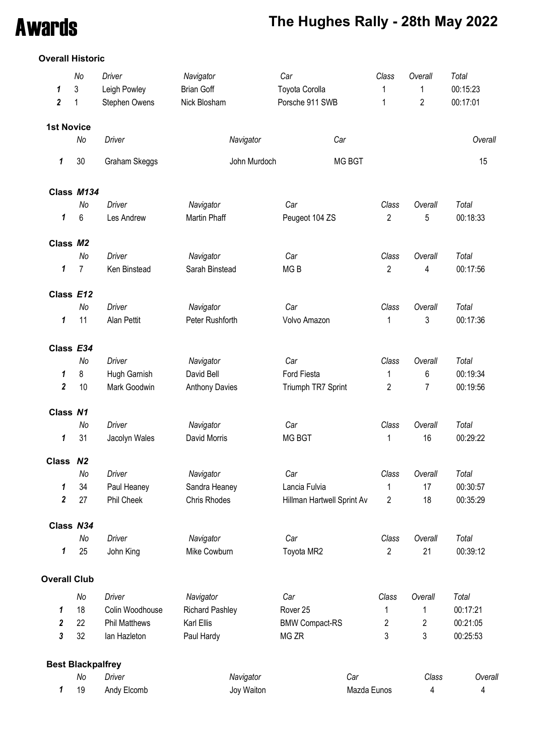# Awards **The Hughes Rally - 28th May 2022**

### **Overall Historic**

|                     | No                       | Driver               | Navigator              | Car                        | Class          | Overall        | Total    |
|---------------------|--------------------------|----------------------|------------------------|----------------------------|----------------|----------------|----------|
| 1                   | 3                        | Leigh Powley         | <b>Brian Goff</b>      | Toyota Corolla             | 1              | 1              | 00:15:23 |
| $\boldsymbol{2}$    | 1                        | Stephen Owens        | Nick Blosham           | Porsche 911 SWB            | 1              | $\overline{2}$ | 00:17:01 |
| <b>1st Novice</b>   |                          |                      |                        |                            |                |                |          |
|                     | No                       | <b>Driver</b>        | Navigator              | Car                        |                |                | Overall  |
| 1                   | 30                       | Graham Skeggs        | John Murdoch           | MG BGT                     |                |                | 15       |
|                     | Class M134               |                      |                        |                            |                |                |          |
|                     | No                       | <b>Driver</b>        | Navigator              | Car                        | Class          | Overall        | Total    |
| 1                   | $\,6\,$                  | Les Andrew           | Martin Phaff           | Peugeot 104 ZS             | $\overline{2}$ | 5              | 00:18:33 |
| Class M2            |                          |                      |                        |                            |                |                |          |
|                     | No                       | Driver               | Navigator              | Car                        | Class          | Overall        | Total    |
| 1                   | $\overline{7}$           | Ken Binstead         | Sarah Binstead         | MG <sub>B</sub>            | $\overline{2}$ | 4              | 00:17:56 |
| Class E12           |                          |                      |                        |                            |                |                |          |
|                     | No                       | <b>Driver</b>        | Navigator              | Car                        | Class          | Overall        | Total    |
| 1                   | 11                       | <b>Alan Pettit</b>   | Peter Rushforth        | Volvo Amazon               | 1              | 3              | 00:17:36 |
| Class E34           |                          |                      |                        |                            |                |                |          |
|                     | No                       | Driver               | Navigator              | Car                        | Class          | Overall        | Total    |
| 1                   | 8                        | Hugh Garnish         | David Bell             | Ford Fiesta                | 1              | 6              | 00:19:34 |
| $\boldsymbol{2}$    | 10                       | Mark Goodwin         | <b>Anthony Davies</b>  | Triumph TR7 Sprint         | 2              | 7              | 00:19:56 |
| Class N1            |                          |                      |                        |                            |                |                |          |
|                     | No                       | Driver               | Navigator              | Car                        | Class          | Overall        | Total    |
| 1                   | 31                       | Jacolyn Wales        | David Morris           | <b>MG BGT</b>              | 1              | 16             | 00:29:22 |
|                     |                          |                      |                        |                            |                |                |          |
| Class N2            | No                       | Driver               | Navigator              | Car                        | Class          | Overall        | Total    |
| 1                   | 34                       | Paul Heaney          | Sandra Heaney          | Lancia Fulvia              | 1              | 17             | 00:30:57 |
| $\boldsymbol{2}$    | 27                       | Phil Cheek           | Chris Rhodes           | Hillman Hartwell Sprint Av | 2              | 18             | 00:35:29 |
| Class N34           |                          |                      |                        |                            |                |                |          |
|                     | No                       | Driver               | Navigator              | Car                        | Class          | Overall        | Total    |
| 1                   | 25                       | John King            | Mike Cowburn           | Toyota MR2                 | $\overline{2}$ | 21             | 00:39:12 |
| <b>Overall Club</b> |                          |                      |                        |                            |                |                |          |
|                     | No                       | Driver               | Navigator              | Car                        | Class          | Overall        | Total    |
| 1                   | 18                       | Colin Woodhouse      | <b>Richard Pashley</b> | Rover <sub>25</sub>        | 1              | 1              | 00:17:21 |
| 2                   | 22                       | <b>Phil Matthews</b> | Karl Ellis             | <b>BMW Compact-RS</b>      | 2              | 2              | 00:21:05 |
| 3                   | 32                       | lan Hazleton         | Paul Hardy             | MG ZR                      | 3              | 3              | 00:25:53 |
|                     | <b>Best Blackpalfrey</b> |                      |                        |                            |                |                |          |
|                     | No                       | <b>Driver</b>        | Navigator              | Car                        |                | Class          | Overal   |
| 1                   | 19                       | Andy Elcomb          | Joy Waiton             |                            | Mazda Eunos    | 4              | 4        |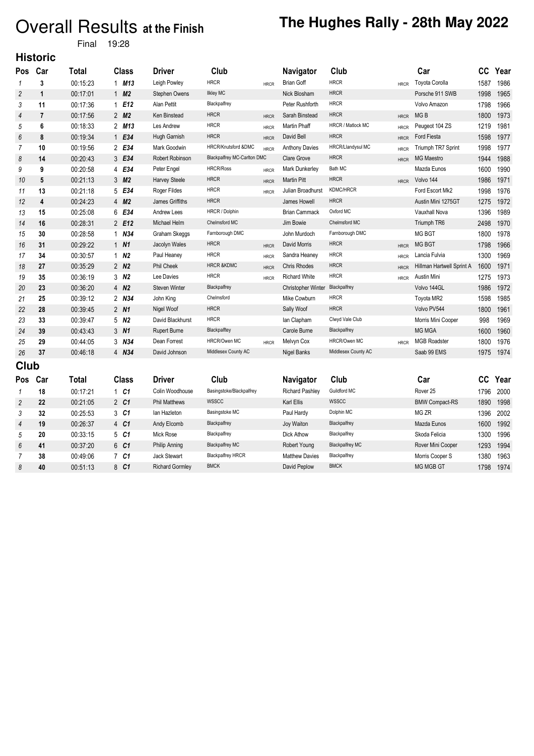# Overall Results at the Finish The Hughes Rally - 28th May 2022

Final 19:28

### **Historic**

| Pos            | Car | Total        | <b>Class</b>      | <b>Driver</b>          | Club                               |             | Navigator                 | Club                   |             | Car                       | cc   | Year |
|----------------|-----|--------------|-------------------|------------------------|------------------------------------|-------------|---------------------------|------------------------|-------------|---------------------------|------|------|
| 1              | 3   | 00:15:23     | $1$ M13           | Leigh Powley           | <b>HRCR</b>                        | <b>HRCR</b> | <b>Brian Goff</b>         | <b>HRCR</b>            | <b>HRCR</b> | <b>Toyota Corolla</b>     | 1587 | 1986 |
| 2              | 1   | 00:17:01     | 1 $M2$            | Stephen Owens          | <b>Ilkley MC</b>                   |             | Nick Blosham              | <b>HRCR</b>            |             | Porsche 911 SWB           | 1998 | 1965 |
| 3              | 11  | 00:17:36     | 1E12              | Alan Pettit            | Blackpalfrey                       |             | Peter Rushforth           | <b>HRCR</b>            |             | Volvo Amazon              | 1798 | 1966 |
| 4              | 7   | 00:17:56     | 2 M <sub>2</sub>  | Ken Binstead           | <b>HRCR</b>                        | <b>HRCR</b> | Sarah Binstead            | <b>HRCR</b>            | <b>HRCR</b> | MG <sub>B</sub>           | 1800 | 1973 |
| 5              | 6   | 00:18:33     | 2 M13             | Les Andrew             | <b>HRCR</b>                        | <b>HRCR</b> | Martin Phaff              | HRCR / Matlock MC      | <b>HRCR</b> | Peugeot 104 ZS            | 1219 | 1981 |
| 6              | 8   | 00:19:34     | 1 E34             | Hugh Garnish           | <b>HRCR</b>                        | <b>HRCR</b> | David Bell                | <b>HRCR</b>            | <b>HRCR</b> | Ford Fiesta               | 1598 | 1977 |
| 7              | 10  | 00:19:56     | 2 E34             | Mark Goodwin           | HRCR/Knutsford &DMC                | <b>HRCR</b> | <b>Anthony Davies</b>     | HRCR/Llandysul MC      | <b>HRCR</b> | Triumph TR7 Sprint        | 1998 | 1977 |
| 8              | 14  | 00:20:43     | 3 E34             | Robert Robinson        | <b>Blackpalfrey MC-Carlton DMC</b> |             | <b>Clare Grove</b>        | <b>HRCR</b>            | <b>HRCR</b> | <b>MG Maestro</b>         | 1944 | 1988 |
| 9              | 9   | 00:20:58     | 4 E34             | Peter Engel            | <b>HRCR/Ross</b>                   | <b>HRCR</b> | Mark Dunkerley            | Bath MC                |             | Mazda Eunos               | 1600 | 1990 |
| 10             | 5   | 00:21:13     | 3 M2              | <b>Harvey Steele</b>   | <b>HRCR</b>                        | <b>HRCR</b> | <b>Martin Pitt</b>        | <b>HRCR</b>            | <b>HRCR</b> | Volvo 144                 | 1986 | 1971 |
| 11             | 13  | 00:21:18     | 5 E34             | Roger Fildes           | <b>HRCR</b>                        | <b>HRCR</b> | Julian Broadhurst         | <b>KDMC/HRCR</b>       |             | Ford Escort Mk2           | 1998 | 1976 |
| 12             | 4   | 00:24:23     | 4 M <sub>2</sub>  | James Griffiths        | <b>HRCR</b>                        |             | James Howell              | <b>HRCR</b>            |             | Austin Mini 1275GT        | 1275 | 1972 |
| 13             | 15  | 00:25:08     | 6 E34             | Andrew Lees            | HRCR / Dolphin                     |             | <b>Brian Cammack</b>      | Oxford MC              |             | Vauxhall Nova             | 1396 | 1989 |
| 14             | 16  | 00:28:31     | 2 E12             | Michael Helm           | Chelmsford MC                      |             | Jim Bowie                 | Chelmsford MC          |             | Triumph TR6               | 2498 | 1970 |
| 15             | 30  | 00:28:58     | $1$ $N34$         | Graham Skeggs          | Farnborough DMC                    |             | John Murdoch              | Famborough DMC         |             | <b>MG BGT</b>             | 1800 | 1978 |
| 16             | 31  | 00:29:22     | $1$ $N1$          | Jacolyn Wales          | <b>HRCR</b>                        | <b>HRCR</b> | David Morris              | <b>HRCR</b>            | <b>HRCR</b> | <b>MG BGT</b>             | 1798 | 1966 |
| 17             | 34  | 00:30:57     | $1$ $N2$          | Paul Heaney            | <b>HRCR</b>                        | <b>HRCR</b> | Sandra Heaney             | <b>HRCR</b>            | <b>HRCR</b> | Lancia Fulvia             | 1300 | 1969 |
| 18             | 27  | 00:35:29     | $2$ $N2$          | Phil Cheek             | <b>HRCR &amp;KDMC</b>              | <b>HRCR</b> | <b>Chris Rhodes</b>       | <b>HRCR</b>            | <b>HRCR</b> | Hillman Hartwell Sprint A | 1600 | 1971 |
| 19             | 35  | 00:36:19     | $3 \, M2$         | Lee Davies             | <b>HRCR</b>                        | <b>HRCR</b> | <b>Richard White</b>      | <b>HRCR</b>            | <b>HRCR</b> | Austin Mini               | 1275 | 1973 |
| 20             | 23  | 00:36:20     | 4 N <sub>2</sub>  | <b>Steven Winter</b>   | Blackpalfrey                       |             | <b>Christopher Winter</b> | Blackpalfrey           |             | Volvo 144GL               | 1986 | 1972 |
| 21             | 25  | 00:39:12     | 2 N <sub>34</sub> | John King              | Chelmsford                         |             | Mike Cowburn              | <b>HRCR</b>            |             | Toyota MR2                | 1598 | 1985 |
| 22             | 28  | 00:39:45     | $2$ $N1$          | Nigel Woof             | <b>HRCR</b>                        |             | Sally Woof                | <b>HRCR</b>            |             | Volvo PV544               | 1800 | 1961 |
| 23             | 33  | 00:39:47     | 5 N <sub>2</sub>  | David Blackhurst       | <b>HRCR</b>                        |             | lan Clapham               | Clwyd Vale Club        |             | Morris Mini Cooper        | 998  | 1969 |
| 24             | 39  | 00:43:43     | $3 \, M1$         | <b>Rupert Burne</b>    | Blackpalftey                       |             | Carole Burne              | Blackpalfrey           |             | <b>MG MGA</b>             | 1600 | 1960 |
| 25             | 29  | 00:44:05     | 3 N34             | Dean Forrest           | <b>HRCR/Owen MC</b>                | <b>HRCR</b> | Melvyn Cox                | HRCR/Owen MC           | <b>HRCR</b> | <b>MGB Roadster</b>       | 1800 | 1976 |
| 26             | 37  | 00:46:18     | 4 N34             | David Johnson          | Middlesex County AC                |             | Nigel Banks               | Middlesex County AC    |             | Saab 99 EMS               | 1975 | 1974 |
| Club           |     |              |                   |                        |                                    |             |                           |                        |             |                           |      |      |
| <b>Pos</b>     | Car | <b>Total</b> | <b>Class</b>      | <b>Driver</b>          | Club                               |             | Navigator                 | Club                   |             | Car                       | CC   | Year |
| 1              | 18  | 00:17:21     | $1 \quad C1$      | Colin Woodhouse        | Basingstoke/Blackpalfrey           |             | <b>Richard Pashley</b>    | Guildford MC           |             | Rover <sub>25</sub>       | 1796 | 2000 |
| $\overline{c}$ | 22  | 00:21:05     | 2 C1              | <b>Phil Matthews</b>   | <b>WSSCC</b>                       |             | Karl Ellis                | <b>WSSCC</b>           |             | <b>BMW Compact-RS</b>     | 1890 | 1998 |
| 3              | 32  | 00:25:53     | 3 C1              | lan Hazleton           | Basingstoke MC                     |             | Paul Hardy                | Dolphin MC             |             | MG ZR                     | 1396 | 2002 |
| 4              | 19  | 00:26:37     | 4 C1              | Andy Elcomb            | Blackpalfrey                       |             | Joy Waiton                | Blackpalfrey           |             | Mazda Eunos               | 1600 | 1992 |
| 5              | 20  | 00:33:15     | 5 C1              | Mick Rose              | Blackpalfrey                       |             | <b>Dick Athow</b>         | Blackpalfrey           |             | Skoda Felicia             | 1300 | 1996 |
| 6              | 41  | 00:37:20     | 6 C1              | Philip Anning          | <b>Blackpalfrey MC</b>             |             | Robert Young              | <b>Blackpalfrey MC</b> |             | Rover Mini Cooper         | 1293 | 1994 |
| 7              | 38  | 00:49:06     | 7 C1              | <b>Jack Stewart</b>    | <b>Blackpalfrey HRCR</b>           |             | <b>Matthew Davies</b>     | Blackpalfrey           |             | Morris Cooper S           | 1380 | 1963 |
| 8              | 40  | 00:51:13     | 8 C1              | <b>Richard Gormley</b> | <b>BMCK</b>                        |             | David Peplow              | <b>BMCK</b>            |             | <b>MG MGB GT</b>          | 1798 | 1974 |
|                |     |              |                   |                        |                                    |             |                           |                        |             |                           |      |      |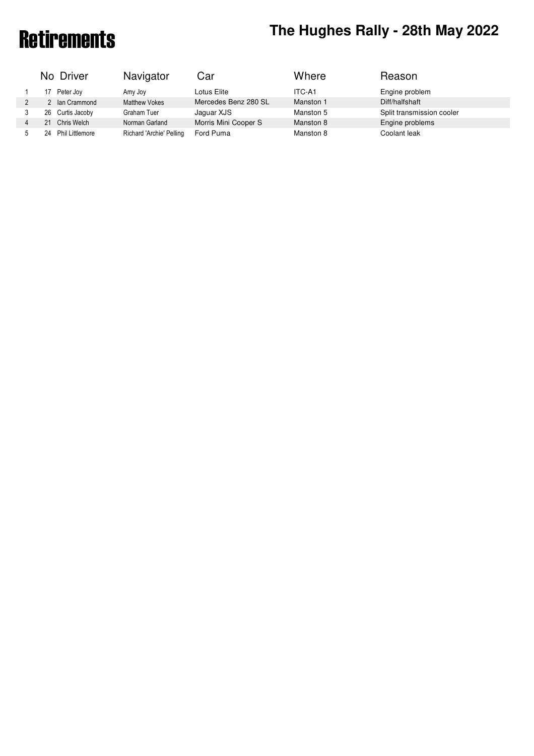# Retirements **The Hughes Rally - 28th May 2022**

|   |    | No Driver        | Navigator                | Car                  | Where     | Reason                    |
|---|----|------------------|--------------------------|----------------------|-----------|---------------------------|
|   | 17 | Peter Joy        | Amy Joy                  | Lotus Elite          | ITC-A1    | Engine problem            |
| 2 |    | 2 Ian Crammond   | <b>Matthew Vokes</b>     | Mercedes Benz 280 SL | Manston 1 | Diff/halfshaft            |
| 3 |    | 26 Curtis Jacoby | Graham Tuer              | Jaquar XJS           | Manston 5 | Split transmission cooler |
| 4 | 21 | Chris Welch      | Norman Garland           | Morris Mini Cooper S | Manston 8 | Engine problems           |
| 5 | 24 | Phil Littlemore  | Richard 'Archie' Pelling | Ford Puma            | Manston 8 | Coolant leak              |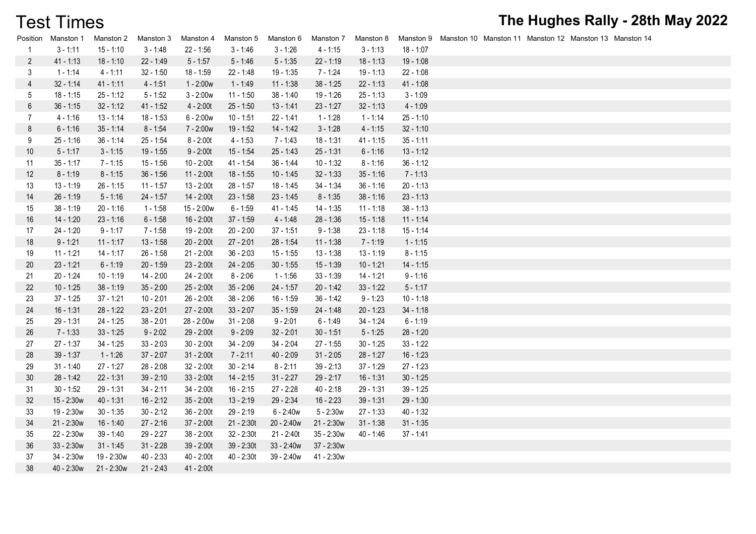# Test Times

| Position       | Manston 1    | Manston 2    | Manston 3   | Manston 4    | Manston 5    | Manston 6    | Manston 7    | Manston 8   |             |  |  | Manston 9 Manston 10 Manston 11 Manston 12 Manston 13 Manston 14 |
|----------------|--------------|--------------|-------------|--------------|--------------|--------------|--------------|-------------|-------------|--|--|------------------------------------------------------------------|
| 1              | $3 - 1:11$   | $15 - 1:10$  | $3 - 1:48$  | $22 - 1:56$  | $3 - 1:46$   | $3 - 1:26$   | $4 - 1:15$   | $3 - 1:13$  | 18 - 1:07   |  |  |                                                                  |
| $\overline{c}$ | $41 - 1:13$  | $18 - 1:10$  | $22 - 1:49$ | $5 - 1:57$   | $5 - 1:46$   | $5 - 1:35$   | $22 - 1:19$  | $18 - 1:13$ | $19 - 1:08$ |  |  |                                                                  |
| 3              | $1 - 1:14$   | $4 - 1:11$   | $32 - 1:50$ | $18 - 1:59$  | 22 - 1:48    | $19 - 1:35$  | $7 - 1:24$   | $19 - 1:13$ | $22 - 1:08$ |  |  |                                                                  |
| 4              | $32 - 1:14$  | $41 - 1:11$  | $4 - 1:51$  | $1 - 2:00w$  | $1 - 1:49$   | $11 - 1:38$  | $38 - 1:25$  | $22 - 1:13$ | $41 - 1:08$ |  |  |                                                                  |
| 5              | $18 - 1:15$  | $25 - 1:12$  | $5 - 1:52$  | $3 - 2:00w$  | 11 - 1:50    | $38 - 1:40$  | 19 - 1:26    | $25 - 1:13$ | $3 - 1:09$  |  |  |                                                                  |
| 6              | $36 - 1:15$  | $32 - 1:12$  | $41 - 1:52$ | $4 - 2:00t$  | $25 - 1:50$  | $13 - 1:41$  | $23 - 1:27$  | $32 - 1:13$ | $4 - 1:09$  |  |  |                                                                  |
| 7              | $4 - 1:16$   | $13 - 1:14$  | $18 - 1:53$ | $6 - 2:00w$  | $10 - 1:51$  | $22 - 1:41$  | $1 - 1:28$   | $1 - 1:14$  | $25 - 1:10$ |  |  |                                                                  |
| 8              | $6 - 1:16$   | $35 - 1:14$  | $8 - 1:54$  | 7 - 2:00w    | $19 - 1:52$  | $14 - 1:42$  | $3 - 1:28$   | $4 - 1:15$  | $32 - 1:10$ |  |  |                                                                  |
| 9              | $25 - 1:16$  | $36 - 1:14$  | $25 - 1:54$ | $8 - 2:00t$  | $4 - 1:53$   | $7 - 1:43$   | $18 - 1:31$  | $41 - 1:15$ | $35 - 1:11$ |  |  |                                                                  |
| 10             | $5 - 1:17$   | $3 - 1:15$   | 19 - 1:55   | $9 - 2:00t$  | $15 - 1:54$  | $25 - 1:43$  | $25 - 1:31$  | $6 - 1:16$  | $13 - 1:12$ |  |  |                                                                  |
| 11             | $35 - 1:17$  | $7 - 1:15$   | $15 - 1:56$ | $10 - 2:00t$ | $41 - 1:54$  | $36 - 1:44$  | $10 - 1:32$  | $8 - 1:16$  | $36 - 1:12$ |  |  |                                                                  |
| 12             | $8 - 1:19$   | $8 - 1:15$   | $36 - 1:56$ | $11 - 2:00t$ | $18 - 1:55$  | $10 - 1:45$  | $32 - 1:33$  | $35 - 1:16$ | $7 - 1:13$  |  |  |                                                                  |
| 13             | $13 - 1:19$  | $26 - 1:15$  | $11 - 1:57$ | $13 - 2:00t$ | $28 - 1:57$  | 18 - 1:45    | $34 - 1:34$  | $36 - 1:16$ | $20 - 1:13$ |  |  |                                                                  |
| 14             | $26 - 1:19$  | $5 - 1:16$   | 24 - 1:57   | 14 - 2:00t   | $23 - 1:58$  | $23 - 1:45$  | $8 - 1:35$   | $38 - 1:16$ | $23 - 1:13$ |  |  |                                                                  |
| 15             | $38 - 1:19$  | $20 - 1:16$  | $1 - 1:58$  | 15 - 2:00w   | $6 - 1:59$   | 41 - 1:45    | $14 - 1:35$  | $11 - 1:18$ | $38 - 1:13$ |  |  |                                                                  |
| 16             | 14 - 1:20    | $23 - 1:16$  | $6 - 1:58$  | $16 - 2:00t$ | $37 - 1:59$  | $4 - 1:48$   | $28 - 1:36$  | $15 - 1:18$ | $11 - 1:14$ |  |  |                                                                  |
| 17             | 24 - 1:20    | $9 - 1:17$   | $7 - 1:58$  | 19 - 2:00t   | $20 - 2:00$  | $37 - 1:51$  | $9 - 1:38$   | $23 - 1:18$ | $15 - 1:14$ |  |  |                                                                  |
| 18             | $9 - 1:21$   | $11 - 1:17$  | 13 - 1:58   | 20 - 2:00t   | $27 - 2:01$  | $28 - 1:54$  | $11 - 1:38$  | $7 - 1:19$  | $1 - 1:15$  |  |  |                                                                  |
| 19             | $11 - 1:21$  | $14 - 1:17$  | $26 - 1:58$ | 21 - 2:00t   | $36 - 2:03$  | $15 - 1:55$  | $13 - 1:38$  | $13 - 1:19$ | $8 - 1:15$  |  |  |                                                                  |
| 20             | $23 - 1:21$  | $6 - 1:19$   | $20 - 1:59$ | $23 - 2:00t$ | $24 - 2:05$  | $30 - 1:55$  | $15 - 1:39$  | $10 - 1:21$ | $14 - 1:15$ |  |  |                                                                  |
| 21             | $20 - 1:24$  | $10 - 1:19$  | $14 - 2:00$ | 24 - 2:00t   | $8 - 2:06$   | $1 - 1:56$   | $33 - 1:39$  | $14 - 1:21$ | $9 - 1:16$  |  |  |                                                                  |
| 22             | $10 - 1:25$  | $38 - 1:19$  | $35 - 2:00$ | 25 - 2:00t   | $35 - 2:06$  | $24 - 1:57$  | $20 - 1:42$  | $33 - 1:22$ | $5 - 1:17$  |  |  |                                                                  |
| 23             | $37 - 1:25$  | $37 - 1:21$  | $10 - 2:01$ | 26 - 2:00t   | $38 - 2:06$  | $16 - 1:59$  | $36 - 1:42$  | $9 - 1:23$  | $10 - 1:18$ |  |  |                                                                  |
| 24             | $16 - 1:31$  | $28 - 1:22$  | $23 - 2:01$ | 27 - 2:00t   | $33 - 2:07$  | $35 - 1:59$  | 24 - 1:48    | $20 - 1:23$ | $34 - 1:18$ |  |  |                                                                  |
| 25             | $29 - 1:31$  | $24 - 1:25$  | $38 - 2:01$ | 28 - 2:00w   | $31 - 2:08$  | $9 - 2:01$   | $6 - 1:49$   | $34 - 1:24$ | $6 - 1:19$  |  |  |                                                                  |
| 26             | $7 - 1:33$   | $33 - 1:25$  | $9 - 2:02$  | 29 - 2:00t   | $9 - 2:09$   | $32 - 2:01$  | $30 - 1:51$  | $5 - 1:25$  | $28 - 1:20$ |  |  |                                                                  |
| 27             | $27 - 1:37$  | $34 - 1:25$  | $33 - 2:03$ | $30 - 2:00t$ | $34 - 2:09$  | $34 - 2:04$  | $27 - 1:55$  | $30 - 1:25$ | $33 - 1:22$ |  |  |                                                                  |
| 28             | $39 - 1:37$  | $1 - 1:26$   | $37 - 2:07$ | $31 - 2:00t$ | $7 - 2:11$   | $40 - 2:09$  | $31 - 2:05$  | $28 - 1:27$ | $16 - 1:23$ |  |  |                                                                  |
| 29             | $31 - 1:40$  | $27 - 1:27$  | $28 - 2:08$ | $32 - 2:00t$ | $30 - 2:14$  | $8 - 2:11$   | $39 - 2:13$  | $37 - 1:29$ | $27 - 1:23$ |  |  |                                                                  |
| 30             | 28 - 1:42    | $22 - 1:31$  | $39 - 2:10$ | $33 - 2:00t$ | $14 - 2:15$  | $31 - 2:27$  | $29 - 2:17$  | $16 - 1:31$ | $30 - 1:25$ |  |  |                                                                  |
| 31             | $30 - 1:52$  | 29 - 1:31    | $34 - 2:11$ | $34 - 2:00t$ | $16 - 2:15$  | $27 - 2:28$  | $40 - 2:18$  | $29 - 1:31$ | $39 - 1:25$ |  |  |                                                                  |
| 32             | 15 - 2:30w   | $40 - 1:31$  | $16 - 2:12$ | $35 - 2:00t$ | $13 - 2:19$  | $29 - 2:34$  | $16 - 2:23$  | $39 - 1:31$ | $29 - 1:30$ |  |  |                                                                  |
| 33             | 19 - 2:30w   | $30 - 1:35$  | $30 - 2:12$ | $36 - 2:00t$ | $29 - 2:19$  | $6 - 2:40w$  | $5 - 2:30w$  | $27 - 1:33$ | $40 - 1:32$ |  |  |                                                                  |
| 34             | $21 - 2:30w$ | $16 - 1:40$  | $27 - 2:16$ | 37 - 2:00t   | 21 - 2:30t   | 20 - 2:40w   | 21 - 2:30w   | $31 - 1:38$ | $31 - 1:35$ |  |  |                                                                  |
| 35             | 22 - 2:30w   | 39 - 1:40    | 29 - 2:27   | $38 - 2:00t$ | $32 - 2:30t$ | $21 - 2:40t$ | $35 - 2:30w$ | $40 - 1:46$ | $37 - 1:41$ |  |  |                                                                  |
| 36             | $33 - 2:30w$ | $31 - 1:45$  | $31 - 2:28$ | 39 - 2:00t   | 39 - 2:30t   | $33 - 2:40w$ | 37 - 2:30w   |             |             |  |  |                                                                  |
| 37             | 34 - 2:30w   | 19 - 2:30w   | $40 - 2:33$ | 40 - 2:00t   | 40 - 2:30t   | 39 - 2:40w   | 41 - 2:30w   |             |             |  |  |                                                                  |
| 38             | 40 - 2:30w   | $21 - 2:30w$ | $21 - 2:43$ | 41 - 2:00t   |              |              |              |             |             |  |  |                                                                  |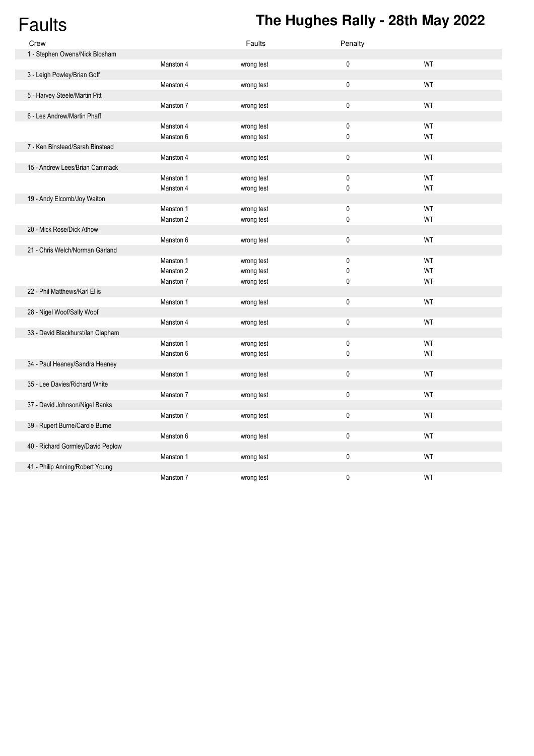# Faults **The Hughes Rally - 28th May 2022**

| Crew                              |           | Faults     | Penalty |           |
|-----------------------------------|-----------|------------|---------|-----------|
| 1 - Stephen Owens/Nick Blosham    |           |            |         |           |
|                                   | Manston 4 | wrong test | 0       | WT        |
| 3 - Leigh Powley/Brian Goff       |           |            |         |           |
|                                   | Manston 4 | wrong test | 0       | WT        |
| 5 - Harvey Steele/Martin Pitt     |           |            |         |           |
|                                   | Manston 7 | wrong test | 0       | WT        |
| 6 - Les Andrew/Martin Phaff       |           |            |         |           |
|                                   | Manston 4 | wrong test | 0       | WT        |
|                                   | Manston 6 | wrong test | 0       | WT        |
| 7 - Ken Binstead/Sarah Binstead   |           |            |         |           |
|                                   | Manston 4 | wrong test | 0       | WT        |
| 15 - Andrew Lees/Brian Cammack    |           |            |         |           |
|                                   | Manston 1 | wrong test | 0       | WT        |
|                                   | Manston 4 | wrong test | 0       | WT        |
| 19 - Andy Elcomb/Joy Waiton       |           |            |         |           |
|                                   | Manston 1 | wrong test | 0       | WT        |
|                                   | Manston 2 | wrong test | 0       | WT        |
| 20 - Mick Rose/Dick Athow         |           |            |         |           |
|                                   | Manston 6 | wrong test | 0       | WT        |
| 21 - Chris Welch/Norman Garland   |           |            |         |           |
|                                   | Manston 1 | wrong test | 0       | WT        |
|                                   | Manston 2 | wrong test | 0       | WT        |
|                                   | Manston 7 | wrong test | 0       | WT        |
| 22 - Phil Matthews/Karl Ellis     |           |            |         |           |
|                                   | Manston 1 | wrong test | 0       | WT        |
| 28 - Nigel Woof/Sally Woof        |           |            |         |           |
|                                   | Manston 4 | wrong test | 0       | <b>WT</b> |
| 33 - David Blackhurst/lan Clapham |           |            |         |           |
|                                   | Manston 1 | wrong test | 0       | WT        |
|                                   | Manston 6 | wrong test | 0       | WT        |
| 34 - Paul Heaney/Sandra Heaney    |           |            |         |           |
|                                   | Manston 1 | wrong test | 0       | WT        |
| 35 - Lee Davies/Richard White     |           |            |         |           |
|                                   | Manston 7 | wrong test | 0       | WT        |
| 37 - David Johnson/Nigel Banks    |           |            |         |           |
|                                   | Manston 7 | wrong test | 0       | WT        |
| 39 - Rupert Burne/Carole Burne    |           |            |         |           |
|                                   | Manston 6 | wrong test | 0       | WT        |
| 40 - Richard Gormley/David Peplow |           |            |         |           |
|                                   | Manston 1 | wrong test | 0       | WT        |
| 41 - Philip Anning/Robert Young   |           |            |         |           |
|                                   | Manston 7 | wrong test | 0       | WT        |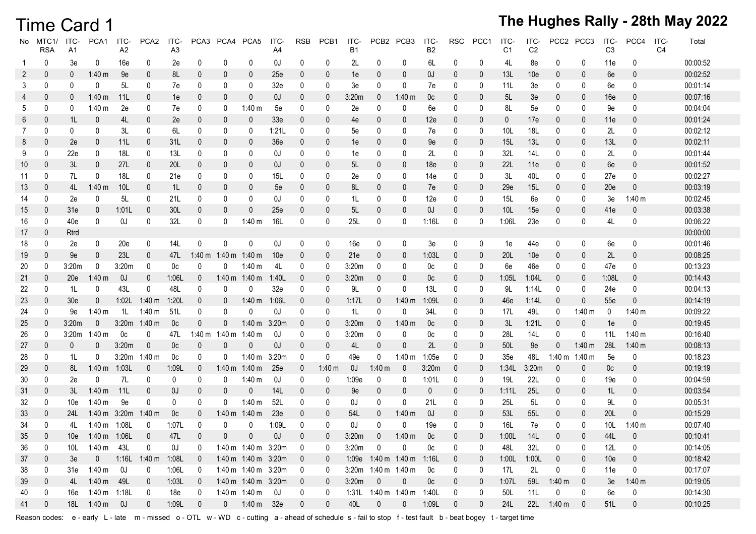### Time Card 1

### **The Hughes Rally - 28th May 2022**

| No. | MTC1/<br><b>RSA</b> | ITC-<br>A1      | PCA1          | ITC-<br>A <sub>2</sub> | PCA <sub>2</sub>   | ITC-<br>A <sub>3</sub> |                | PCA3 PCA4 PCA5 |                     | ITC-<br>A4      | <b>RSB</b>               | PCB1           | ITC-<br><b>B1</b> | PCB <sub>2</sub>    | PCB <sub>3</sub>    | ITC-<br>B2      | RSC              | PCC1             | ITC-<br>C <sub>1</sub> | ITC-<br>C <sub>2</sub> | PCC <sub>2</sub> | PCC3                     | ITC-<br>C <sub>3</sub> | PCC4         | ITC-<br>C <sub>4</sub> | Total    |
|-----|---------------------|-----------------|---------------|------------------------|--------------------|------------------------|----------------|----------------|---------------------|-----------------|--------------------------|----------------|-------------------|---------------------|---------------------|-----------------|------------------|------------------|------------------------|------------------------|------------------|--------------------------|------------------------|--------------|------------------------|----------|
|     | 0                   | 3e              | 0             | 16e                    | 0                  | 2e                     | 0              | 0              | 0                   | OJ              | 0                        | 0              | 2L                | 0                   | 0                   | 6L              | 0                | 0                | 4L                     | 8e                     | 0                | 0                        | 11e                    | 0            |                        | 00:00:52 |
| 2   | $\mathbf{0}$        | 0               | $1:40 \; m$   | 9e                     | 0                  | 8L                     | 0              | 0              | $\mathbf{0}$        | 25e             | 0                        | $\overline{0}$ | 1e                | 0                   | 0                   | OJ              | 0                | 0                | 13L                    | 10 <sub>e</sub>        | 0                | 0                        | 6e                     | $\mathbf{0}$ |                        | 00:02:52 |
| 3   | 0                   | 0               |               | 5L                     | 0                  | 7e                     | 0              | 0              | 0                   | 32e             | 0                        | 0              | 3e                | 0                   | 0                   | 7e              | 0                | 0                | 11L                    | 3e                     | 0                | 0                        | 6e                     | 0            |                        | 00:01:14 |
| 4   | $\mathbf{0}$        |                 | $1:40 \; m$   | 11L                    | 0                  | 1e                     | 0              |                | 0                   | OJ.             | 0                        | $\overline{0}$ | 3:20m             | 0                   | 1:40 $\,$ m         | 0c              | 0                | 0                | 5L                     | 3e                     | 0                | 0                        | 16e                    | 0            |                        | 00:07:16 |
| 5   | 0                   | 0               | $1:40 \; m$   | 2e                     | 0                  | 7e                     | 0              | 0              | 1:40 m              | 5e              | 0                        | 0              | 2e                | 0                   | 0                   | 6e              | 0                | 0                | 8L                     | 5e                     | 0                | 0                        | 9e                     | 0            |                        | 00:04:04 |
| 6   | 0                   | 1L              | 0             | 4L                     | 0                  | 2e                     | 0              | 0              | 0                   | 33 <sub>e</sub> | 0                        | $\bf{0}$       | 4e                | 0                   | $\bf{0}$            | 12e             | 0                | 0                | $\bf{0}$               | 17e                    | 0                | 0                        | 11e                    | 0            |                        | 00:01:24 |
| 7   | 0                   | 0               |               | 3L                     | 0                  | 6L                     | 0              | 0              | 0                   | 1:21L           | 0                        | 0              | 5e                | 0                   | 0                   | 7e              | 0                | 0                | 10 <sub>L</sub>        | 18L                    | 0                | 0                        | 2L                     | 0            |                        | 00:02:12 |
| 8   | 0                   | 2e              | 0             | 11L                    | 0                  | 31L                    | 0              |                | 0                   | 36 <sub>e</sub> | 0                        | $\overline{0}$ | 1e                | 0                   | 0                   | 9e              | 0                | $\mathbf 0$      | 15L                    | 13L                    | 0                | 0                        | 13L                    | 0            |                        | 00:02:11 |
| 9   | 0                   | 22e             | 0             | 18L                    | 0                  | 13L                    | 0              | 0              | 0                   | OJ.             | 0                        | 0              | 1e                | 0                   | 0                   | 2L              | 0                | 0                | 32L                    | 14L                    | 0                | 0                        | 2L                     | 0            |                        | 00:01:44 |
| 10  | 0                   | 3L              | 0             | 27L                    | 0                  | 20L                    | 0              |                | 0                   | OJ              | O                        | 0              | 5L                | 0                   | 0                   | 18 <sub>e</sub> | 0                | $\mathbf 0$      | 22L                    | 11e                    | 0                | 0                        | 6e                     | 0            |                        | 00:01:52 |
| 11  | 0                   | 7L              | 0             | 18L                    | 0                  | 21e                    | 0              | 0              | 0                   | 15L             | 0                        | 0              | 2e                | 0                   | 0                   | 14e             | 0                | 0                | 3L                     | 40L                    | 0                | 0                        | 27e                    | 0            |                        | 00:02:27 |
| 13  | 0                   | 4L              | $1:40 \; m$   | 10L                    | $\Omega$           | 1L                     | 0              |                | 0                   | 5e              | 0                        | $\overline{0}$ | 8L                | 0                   | 0                   | 7e              | 0                | $\mathbf 0$      | 29e                    | 15L                    | 0                | 0                        | 20e                    | $\mathbf{0}$ |                        | 00:03:19 |
| 14  | 0                   | 2e              | 0             | 5L                     | 0                  | 21L                    | 0              | 0              | 0                   | OJ              | 0                        | 0              | 1L                | 0                   | 0                   | 12e             | 0                | 0                | 15L                    | 6e                     | 0                | 0                        | 3e                     | 1:40 m       |                        | 00:02:45 |
| 15  | 0                   | 31e             |               | 1:01L                  | 0                  | 30L                    | 0              | 0              | 0                   | 25e             | 0                        | 0              | 5L                | 0                   | 0                   | OJ.             | 0                | $\mathbf{0}$     | 10L                    | 15e                    | 0                | 0                        | 41e                    | 0            |                        | 00:03:38 |
| 16  | 0                   | 40e             | 0             | UO                     | 0                  | 32L                    | 0              |                | $1:40 \; m$         | <b>16L</b>      | 0                        | 0              | 25L               | 0                   | 0                   | 1:16L           | 0                | 0                | 1:06L                  | 23e                    | 0                | 0                        | 4L                     | 0            |                        | 00:06:22 |
| 17  | 0                   | Rtrd            |               |                        |                    |                        |                |                |                     |                 |                          |                |                   |                     |                     |                 |                  |                  |                        |                        |                  |                          |                        |              |                        | 00:00:00 |
| 18  | 0                   | 2e              | 0             | 20e                    | 0                  | 14L                    | $\mathbf{0}$   | 0              | 0                   | OJ              | 0                        | 0              | 16e               | 0                   | 0                   | 3e              | 0                | 0                | 1e                     | 44e                    | 0                | 0                        | 6e                     | 0            |                        | 00:01:46 |
| 19  | 0                   | 9e              | 0             | 23L                    | $\mathbf{0}$       | 47L                    | $1:40 \; m$    | $1:40 \; m$    | 1:40 m              | 10e             | $\mathbf{0}$             | $\mathbf 0$    | 21e               | 0                   | $\mathbf 0$         | 1:03L           | $\overline{0}$   | $\mathbf{0}$     | 20L                    | 10 <sub>e</sub>        | 0                | 0                        | 2L                     | $\mathbf{0}$ |                        | 00:08:25 |
| 20  | 0                   | 3:20m           | 0             | 3:20m                  | 0                  | 0c                     | 0              |                | $1:40 \; m$         | 4L              | 0                        | 0              | 3:20m             | 0                   | 0                   | 0c              | 0                | 0                | 6e                     | 46e                    | 0                | 0                        | 47e                    | 0            |                        | 00:13:23 |
| 21  | 0                   | 20e             | $1:40 \; m$   | 0J                     | 0                  | 1:06L                  | 0              | $1:40 \; m$    | 1:40 m              | 1:40L           | 0                        | $\overline{0}$ | 3:20m             | 0                   | 0                   | 0c              | 0                | $\overline{0}$   | 1:05L                  | 1:04L                  | 0                | 0                        | 1:08L                  | 0            |                        | 00:14:43 |
| 22  | $\mathbf{0}$        | 1L              | 0             | 43L                    | $\Omega$           | 48L                    | 0              |                | 0                   | 32e             | 0                        | 0              | 9L                | 0                   | 0                   | 13L             | 0                | 0                | 9L                     | 1:141                  | 0                | 0                        | 24e                    | 0            |                        | 00:04:13 |
| 23  | 0                   | 30 <sub>e</sub> |               | 1:02L                  | $1:40 \; m$        | 1:20L                  | 0              |                | $1:40 \; m$         | 1:06L           | 0                        | 0              | 1:17L             | $\Omega$            | $1:40 \; m$         | 1:09L           | 0                | $\mathbf 0$      | 46e                    | 1:14L                  | $\theta$         | 0                        | 55e                    | $\Omega$     |                        | 00:14:19 |
| 24  | 0                   | 9e              | 1:40 m        | 1L                     | 1:40 m             | 51L                    | 0              | $\Omega$       | 0                   | OJ              | 0                        | 0              | 1L                | 0                   | 0                   | 34L             | 0                | 0                | 17L                    | 49L                    | 0                | 1:40 $m$                 | 0                      | 1:40 m       |                        | 00:09:22 |
| 25  | $\mathbf{0}$        | 3:20m           | $\Omega$      | 3:20m                  | 1:40 m             | 0 <sub>c</sub>         | $\mathbf 0$    |                | $1:40 \; m$         | 3:20m           | 0                        | 0              | 3:20m             | 0                   | $1:40 \; m$         | 0c              | 0                | $\mathbf 0$      | 3L                     | 1:21L                  | 0                | $\mathbf{0}$             | 1e                     | $\mathbf{0}$ |                        | 00:19:45 |
| 26  | 0                   | 3:20m           | $1:40 \; m$   | 0c                     | 0                  | 47L                    | $1:40 \; m$    | $1:40 \; m$    | 1:40 m              | 0J              | 0                        | 0              | 3:20m             | 0                   | 0                   | 0c              | 0                | 0                | 28L                    | 14L                    | 0                | 0                        | 11L                    | 1:40 m       |                        | 00:16:40 |
| 27  | 0                   | 0               | 0             | 3:20m                  | 0                  | 0c                     | 0              | 0              | 0                   | OJ              | $\mathbf{0}$             | $\overline{0}$ | 4L                | -0                  | $\bf{0}$            | 2L              | 0                | $\mathbf 0$      | 50L                    | 9e                     | $\mathbf 0$      | 1:40 $m$                 | <b>28L</b>             | 1:40 m       |                        | 00:08:13 |
| 28  | 0                   | 1L              |               | 3:20m                  | 1:40 m             | 0 <sup>c</sup>         | 0              |                | 1:40 $m$            | 3:20m           | 0                        | 0              | 49e               | 0                   | 1:40 m              | 1:05e           | 0                | 0                | 35 <sub>e</sub>        | 48L                    | 1:40 $m$         | 1:40 m                   | 5e                     | 0            |                        | 00:18:23 |
| 29  | 0                   | 8L              | $1:40 \; m$   | 1:03L                  | $\mathbf 0$        | 1:09L                  | $\mathbf 0$    | 1:40 m         | 1:40 m              | 25e             | $\mathbf{0}$             | 1:40 m         | OJ.               | 1:40 m              | $\mathbf{0}$        | 3:20m           | $\overline{0}$   | $\mathbf{0}$     | 1:34L                  | 3:20m                  | 0                | $\mathbf{0}$             | 0c                     | 0            |                        | 00:19:19 |
| 30  | 0                   | 2e              | $\Omega$      | 7L                     | 0                  | 0                      | 0              |                | $1:40 \; m$         | OJ              | 0                        | 0              | 1:09e             | 0                   | 0                   | 1:01L           | 0                | 0                | 19L                    | 22L                    | 0                | 0                        | 19e                    | 0            |                        | 00:04:59 |
| 31  | 0                   | 3L              | $1:40 \; m$   | 11L                    | 0                  | OJ                     | 0              |                | 0                   | 14L             | 0                        | 0              | 9e                | $\mathbf 0$         | 0                   | 0               | 0                | $\overline{0}$   | 1:11L                  | 25L                    | 0                | 0                        | 1L                     | 0            |                        | 00:03:54 |
| 32  | 0                   | 10e             | $1:40 \; m$   | 9e                     | 0                  | 0                      | 0              |                | 1:40 m              | <b>52L</b>      | 0                        | 0              | OJ                | 0                   | 0                   | 21L             | 0                | 0                | 25L                    | 5L                     | 0                | 0                        | 9L                     | 0            |                        | 00:05:31 |
| 33  | 0                   | 24L             | 1:40 m        | 3:20m                  | 1:40 m             | 0c                     | 0              | 1:40 m         | $1:40 \; m$         | 23e             | 0                        | $\overline{0}$ | 54L               | 0                   | $1:40 \; m$         | OJ              | 0                | 0                | 53L                    | 55L                    | 0                | 0                        | <b>20L</b>             | $\Omega$     |                        | 00:15:29 |
| 34  | $\mathbf{0}$        | 4L              | 1:40 $m$      | 1:08L                  | 0                  | 1:07L                  | $\Omega$       |                | 0                   | 1:09L           | $\Omega$                 | 0              | OJ                | $\Omega$            | 0                   | 19e             | 0                | 0                | 16L                    | 7e                     | $\mathbf{0}$     | $\Omega$                 | 10L                    | 1:40 m       |                        | 00:07:40 |
| 35  |                     | 10e             | 1:40 m 1:06L  |                        | $\overline{0}$     | 47L                    | $\Omega$       | $\mathbf{0}$   | 0                   | 0J              | $\mathbf{0}$             | $\mathbf{0}$   | 3:20m             | $\Omega$            | 1:40 m              | 0c              | $\Omega$         | $\mathbf{0}$     | 1:00L                  | 14L                    | $\Omega$         | $\mathbf{0}$             | 44L                    | $\mathbf{0}$ |                        | 00:10:41 |
| 36  | 0                   | 10L             | 1:40 m 43L    |                        | 0                  | OJ                     | 0              |                | 1:40 m 1:40 m 3:20m |                 | 0                        | 0              | 3:20m             | 0                   | 0                   | 0c              | 0                | 0                | 48L                    | 32L                    | 0                | 0                        | 12L                    | 0            |                        | 00:14:05 |
| 37  | 0                   | 3e              | $\mathbf 0$   |                        | 1:16L 1:40 m 1:08L |                        | $\overline{0}$ |                | 1:40 m 1:40 m 3:20m |                 | $\overline{\phantom{0}}$ | $\overline{0}$ | 1:09e             |                     | 1:40 m 1:40 m 1:16L |                 | $\mathbf 0$      | $\overline{0}$   | 1:00L                  | 1:00L                  | $\boldsymbol{0}$ | $\mathbf 0$              | 10e                    | $\mathbf 0$  |                        | 00:18:42 |
| 38  | 0                   |                 | 31e 1:40 m    | OJ                     | 0                  | 1:06L                  | 0              |                | 1:40 m 1:40 m 3:20m |                 | $\overline{\phantom{0}}$ | 0              |                   | 3:20m 1:40 m 1:40 m |                     | 0 <sub>c</sub>  | 0                | 0                | 17L                    | 2L                     | 0                | 0                        | 11e                    | $\pmb{0}$    |                        | 00:17:07 |
| 39  | $\mathbf 0$         |                 | 4L 1:40 m 49L |                        | $\mathbf 0$        | 1:03L                  | $\overline{0}$ |                | 1:40 m 1:40 m 3:20m |                 | $\overline{\phantom{0}}$ | $\mathbf{0}$   | 3:20m             | $\overline{0}$      | $\overline{0}$      | 0c              | $\boldsymbol{0}$ | $\overline{0}$   | 1:07L                  | 59L                    | $1:40 \; m$      | $\overline{\phantom{0}}$ | 3e                     | 1:40 m       |                        | 00:19:05 |
| 40  | $\bf{0}$            | 16e             | 1:40 m 1:18L  |                        | 0                  | 18e                    | 0              |                | 1:40 m 1:40 m 0J    |                 | 0                        | 0              | 1:31L             |                     | 1:40 m 1:40 m 1:40L |                 | 0                | $\boldsymbol{0}$ | 50L                    | 11L                    | 0                | $\mathbf 0$              | 6e                     | 0            |                        | 00:14:30 |
| 41  | 0                   |                 | 18L 1:40 m    | 0J                     | 0                  | 1:09L                  | $\pmb{0}$      |                | 0 1:40 m 32e        |                 | $\mathbf 0$              | $\pmb{0}$      | $40L$             | $\pmb{0}$           | $\overline{0}$      | 1:09L           | $\mathbf 0$      | $\mathbf{0}$     | 24L                    |                        | 22L 1:40 m       | $\mathbf 0$              | 51L                    | $\pmb{0}$    |                        | 00:10:25 |

Reason codes: e - early L - late m - missed o - OTL w - WD c - cutting a - ahead of schedule s - fail to stop f - test fault b - beat bogey t - target time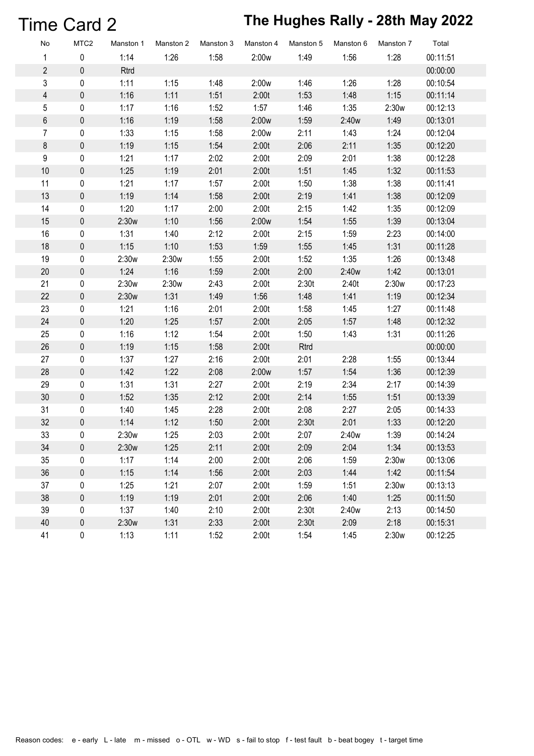# Time Card 2 **The Hughes Rally - 28th May 2022**

| No               | MTC <sub>2</sub> | Manston 1 | Manston 2 | Manston 3 | Manston 4 | Manston 5 | Manston 6 | Manston 7 | Total    |
|------------------|------------------|-----------|-----------|-----------|-----------|-----------|-----------|-----------|----------|
| $\mathbf{1}$     | $\mathbf 0$      | 1:14      | 1:26      | 1:58      | 2:00w     | 1:49      | 1:56      | 1:28      | 00:11:51 |
| $\overline{2}$   | $\pmb{0}$        | Rtrd      |           |           |           |           |           |           | 00:00:00 |
| 3                | 0                | 1:11      | 1:15      | 1:48      | 2:00w     | 1:46      | 1:26      | 1:28      | 00:10:54 |
| $\overline{4}$   | $\pmb{0}$        | 1:16      | 1:11      | 1:51      | 2:00t     | 1:53      | 1:48      | 1:15      | 00:11:14 |
| 5                | 0                | 1:17      | 1:16      | 1:52      | 1:57      | 1:46      | 1:35      | 2:30w     | 00:12:13 |
| $\,6\,$          | $\mathbf 0$      | 1:16      | 1:19      | 1:58      | 2:00w     | 1:59      | 2:40w     | 1:49      | 00:13:01 |
| $\overline{7}$   | $\mathbf 0$      | 1:33      | 1:15      | 1:58      | 2:00w     | 2:11      | 1:43      | 1:24      | 00:12:04 |
| $\bf 8$          | $\pmb{0}$        | 1:19      | 1:15      | 1:54      | 2:00t     | 2:06      | 2:11      | 1:35      | 00:12:20 |
| $\boldsymbol{9}$ | $\mathbf 0$      | 1:21      | 1:17      | 2:02      | 2:00t     | 2:09      | 2:01      | 1:38      | 00:12:28 |
| 10               | 0                | 1:25      | 1:19      | 2:01      | 2:00t     | 1:51      | 1:45      | 1:32      | 00:11:53 |
| 11               | 0                | 1:21      | 1:17      | 1:57      | 2:00t     | 1:50      | 1:38      | 1:38      | 00:11:41 |
| 13               | $\mathbf 0$      | 1:19      | 1:14      | 1:58      | 2:00t     | 2:19      | 1:41      | 1:38      | 00:12:09 |
| 14               | 0                | 1:20      | 1:17      | 2:00      | 2:00t     | 2:15      | 1:42      | 1:35      | 00:12:09 |
| 15               | $\pmb{0}$        | 2:30w     | 1:10      | 1:56      | 2:00w     | 1:54      | 1:55      | 1:39      | 00:13:04 |
| 16               | 0                | 1:31      | 1:40      | 2:12      | 2:00t     | 2:15      | 1:59      | 2:23      | 00:14:00 |
| 18               | $\pmb{0}$        | 1:15      | 1:10      | 1:53      | 1:59      | 1:55      | 1:45      | 1:31      | 00:11:28 |
| 19               | 0                | 2:30w     | 2:30w     | 1:55      | 2:00t     | 1:52      | 1:35      | 1:26      | 00:13:48 |
| 20               | $\pmb{0}$        | 1:24      | 1:16      | 1:59      | 2:00t     | 2:00      | 2:40w     | 1:42      | 00:13:01 |
| 21               | 0                | 2:30w     | 2:30w     | 2:43      | 2:00t     | 2:30t     | 2:40t     | 2:30w     | 00:17:23 |
| 22               | $\pmb{0}$        | 2:30w     | 1:31      | 1:49      | 1:56      | 1:48      | 1:41      | 1:19      | 00:12:34 |
| 23               | $\mathbf 0$      | 1:21      | 1:16      | 2:01      | 2:00t     | 1:58      | 1:45      | 1:27      | 00:11:48 |
| 24               | $\pmb{0}$        | 1:20      | 1:25      | 1:57      | 2:00t     | 2:05      | 1:57      | 1:48      | 00:12:32 |
| 25               | 0                | 1:16      | 1:12      | 1:54      | 2:00t     | 1:50      | 1:43      | 1:31      | 00:11:26 |
| 26               | $\pmb{0}$        | 1:19      | 1:15      | 1:58      | 2:00t     | Rtrd      |           |           | 00:00:00 |
| 27               | 0                | 1:37      | 1:27      | 2:16      | 2:00t     | 2:01      | 2:28      | 1:55      | 00:13:44 |
| 28               | $\pmb{0}$        | 1:42      | 1:22      | 2:08      | 2:00w     | 1:57      | 1:54      | 1:36      | 00:12:39 |
| 29               | 0                | 1:31      | 1:31      | 2:27      | 2:00t     | 2:19      | 2:34      | 2:17      | 00:14:39 |
| 30               | $\pmb{0}$        | 1:52      | 1:35      | 2:12      | 2:00t     | 2:14      | 1:55      | 1:51      | 00:13:39 |
| 31               | 0                | 1:40      | 1:45      | 2:28      | 2:00t     | 2:08      | 2:27      | 2:05      | 00:14:33 |
| 32               | $\mathbf 0$      | 1:14      | 1:12      | 1:50      | 2:00t     | 2:30t     | 2:01      | 1:33      | 00:12:20 |
| 33               | 0                | 2:30w     | 1:25      | 2:03      | 2:00t     | 2:07      | 2:40w     | 1:39      | 00:14:24 |
| 34               | 0                | 2:30w     | 1:25      | 2:11      | 2:00t     | 2:09      | 2:04      | 1:34      | 00:13:53 |
| 35               | 0                | 1:17      | 1:14      | 2:00      | 2:00t     | 2:06      | 1:59      | 2:30w     | 00:13:06 |
| 36               | 0                | 1:15      | 1:14      | 1:56      | 2:00t     | 2:03      | 1:44      | 1:42      | 00:11:54 |
| 37               | 0                | 1:25      | 1:21      | 2:07      | 2:00t     | 1:59      | 1:51      | 2:30w     | 00:13:13 |
| 38               | 0                | 1:19      | 1:19      | 2:01      | 2:00t     | 2:06      | 1:40      | 1:25      | 00:11:50 |
| 39               | 0                | 1:37      | 1:40      | 2:10      | 2:00t     | 2:30t     | 2:40w     | 2:13      | 00:14:50 |
| 40               | 0                | 2:30w     | 1:31      | 2:33      | 2:00t     | 2:30t     | 2:09      | 2:18      | 00:15:31 |
| 41               | 0                | 1:13      | 1:11      | 1:52      | 2:00t     | 1:54      | 1:45      | 2:30w     | 00:12:25 |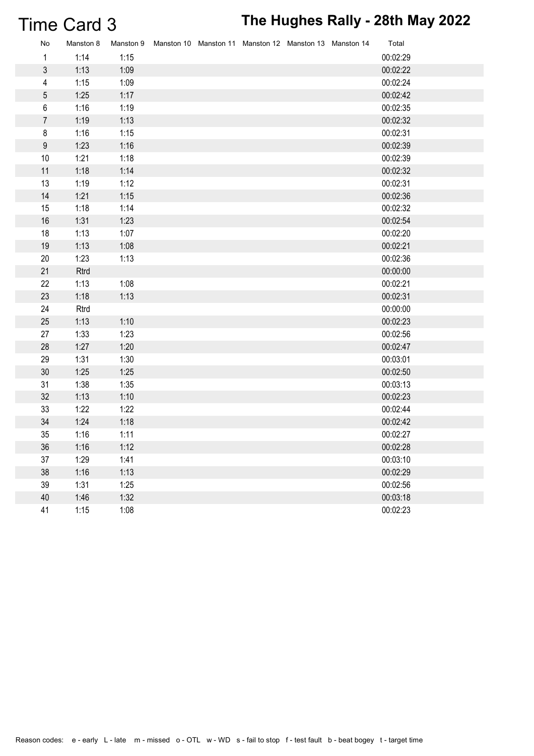# Time Card 3 **The Hughes Rally - 28th May 2022**

| No               | Manston 8 |      | Manston 9 Manston 10 Manston 11 Manston 12 Manston 13 Manston 14 |  |  | Total    |
|------------------|-----------|------|------------------------------------------------------------------|--|--|----------|
| 1                | 1:14      | 1:15 |                                                                  |  |  | 00:02:29 |
| 3                | 1:13      | 1:09 |                                                                  |  |  | 00:02:22 |
| 4                | 1:15      | 1:09 |                                                                  |  |  | 00:02:24 |
| 5                | 1:25      | 1:17 |                                                                  |  |  | 00:02:42 |
| 6                | 1:16      | 1:19 |                                                                  |  |  | 00:02:35 |
| $\overline{7}$   | 1:19      | 1:13 |                                                                  |  |  | 00:02:32 |
| 8                | 1:16      | 1:15 |                                                                  |  |  | 00:02:31 |
| $\boldsymbol{9}$ | 1:23      | 1:16 |                                                                  |  |  | 00:02:39 |
| 10               | 1:21      | 1:18 |                                                                  |  |  | 00:02:39 |
| 11               | 1:18      | 1:14 |                                                                  |  |  | 00:02:32 |
| 13               | 1:19      | 1:12 |                                                                  |  |  | 00:02:31 |
| 14               | 1:21      | 1:15 |                                                                  |  |  | 00:02:36 |
| 15               | 1:18      | 1:14 |                                                                  |  |  | 00:02:32 |
| 16               | 1:31      | 1:23 |                                                                  |  |  | 00:02:54 |
| 18               | 1:13      | 1:07 |                                                                  |  |  | 00:02:20 |
| 19               | 1:13      | 1:08 |                                                                  |  |  | 00:02:21 |
| 20               | 1:23      | 1:13 |                                                                  |  |  | 00:02:36 |
| 21               | Rtrd      |      |                                                                  |  |  | 00:00:00 |
| 22               | 1:13      | 1:08 |                                                                  |  |  | 00:02:21 |
| 23               | 1:18      | 1:13 |                                                                  |  |  | 00:02:31 |
| 24               | Rtrd      |      |                                                                  |  |  | 00:00:00 |
| 25               | 1:13      | 1:10 |                                                                  |  |  | 00:02:23 |
| 27               | 1:33      | 1:23 |                                                                  |  |  | 00:02:56 |
| 28               | 1:27      | 1:20 |                                                                  |  |  | 00:02:47 |
| 29               | 1:31      | 1:30 |                                                                  |  |  | 00:03:01 |
| 30               | 1:25      | 1:25 |                                                                  |  |  | 00:02:50 |
| 31               | 1:38      | 1:35 |                                                                  |  |  | 00:03:13 |
| 32               | 1:13      | 1:10 |                                                                  |  |  | 00:02:23 |
| 33               | 1:22      | 1:22 |                                                                  |  |  | 00:02:44 |
| 34               | 1:24      | 1:18 |                                                                  |  |  | 00:02:42 |
| 35               | 1:16      | 1:11 |                                                                  |  |  | 00:02:27 |
| 36               | 1:16      | 1:12 |                                                                  |  |  | 00:02:28 |
| 37               | 1:29      | 1:41 |                                                                  |  |  | 00:03:10 |
| 38               | 1:16      | 1:13 |                                                                  |  |  | 00:02:29 |
| 39               | 1:31      | 1:25 |                                                                  |  |  | 00:02:56 |
| 40               | 1:46      | 1:32 |                                                                  |  |  | 00:03:18 |
| 41               | 1:15      | 1:08 |                                                                  |  |  | 00:02:23 |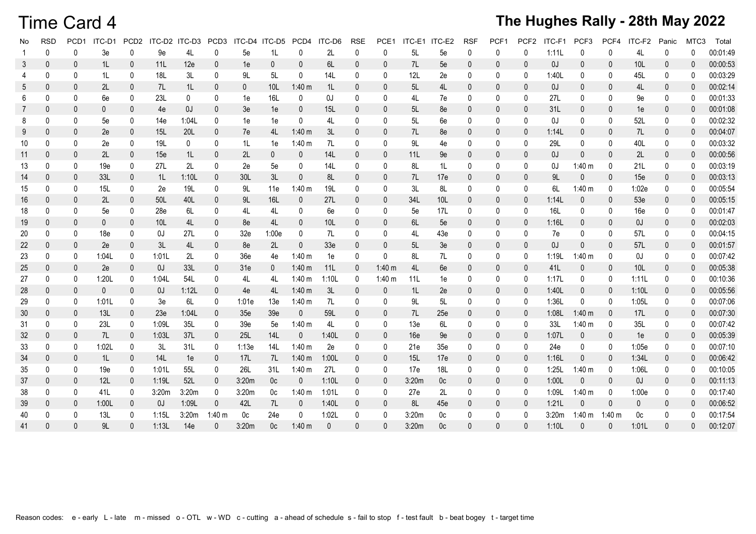### Time Card 4

| No | <b>RSD</b>   | PCD <sub>1</sub> | ITC-D1       |              | PCD2 ITC-D2 ITC-D3 PCD3 |       |              | ITC-D4 ITC-D5   |                | PCD4 ITC-D6  |                 | <b>RSE</b>   | PCE1         | ITC-E1 ITC-E2 |                | <b>RSF</b>   | PCF <sub>1</sub> | PCF <sub>2</sub> | ITC-F1 | PCF <sub>3</sub> | PCF4           | ITC-F2          | Panic        | MTC <sub>3</sub> | Total    |
|----|--------------|------------------|--------------|--------------|-------------------------|-------|--------------|-----------------|----------------|--------------|-----------------|--------------|--------------|---------------|----------------|--------------|------------------|------------------|--------|------------------|----------------|-----------------|--------------|------------------|----------|
|    | $\mathbf{0}$ | $\mathbf 0$      | 3e           | $\mathbf{0}$ | 9e                      | 4L    | 0            | 5e              | 1L             | $\mathbf{0}$ | 2L              | 0            | 0            | 5L            | 5e             | 0            | $\mathbf{0}$     | 0                | 1:11L  | $\mathbf{0}$     | 0              | 4L              | $\mathbf{0}$ | $\mathbf{0}$     | 00:01:49 |
| 3  | 0            | 0                | 1L           | $\mathbf 0$  | 11L                     | 12e   | $\mathbf{0}$ | 1e              | $\mathbf{0}$   | $\mathbf{0}$ | 6L              | 0            | $\mathbf{0}$ | 7L            | 5e             | $\mathbf{0}$ | $\mathbf{0}$     | 0                | 0J     | $\mathbf{0}$     | $\mathbf{0}$   | 10 <sub>L</sub> | $\mathbf{0}$ | 0                | 00:00:53 |
|    | $\Omega$     | 0                | 1L           | $\mathbf 0$  | 18L                     | 3L    | $\mathbf{0}$ | 9L              | 5L             | $\mathbf 0$  | 14L             | 0            | 0            | 12L           | 2e             | $\mathbf 0$  | 0                | 0                | 1:40L  | 0                | 0              | 45L             | 0            | $\mathbf 0$      | 00:03:29 |
| 5  | $\mathbf{0}$ | 0                | 2L           | $\pmb{0}$    | 7L                      | 1L    | $\mathbf{0}$ | $\mathbf{0}$    | 10L            | $1:40 \; m$  | 1L              | $\mathbf 0$  | $\mathbf 0$  | 5L            | 4L             | $\mathbf 0$  | 0                | $\mathbf{0}$     | OJ.    | $\mathbf{0}$     | $\mathbf{0}$   | 4L              | $\mathbf 0$  | $\mathbf{0}$     | 00:02:14 |
| 6  | $\Omega$     | 0                | 6e           | 0            | 23L                     | 0     | $\mathbf{0}$ | 1e              | 16L            | $\mathbf 0$  | 0J              | 0            | $\mathbf 0$  | 4L            | 7e             | 0            | 0                | $\mathbf{0}$     | 27L    | 0                | 0              | 9e              | $\mathbf 0$  | $\mathbf 0$      | 00:01:33 |
|    | $\mathbf{0}$ | $\mathbf{0}$     | $\mathbf{0}$ | $\mathbf 0$  | 4e                      | OJ.   | $\mathbf 0$  | 3e              | 1e             | $\mathbf 0$  | 15L             | $\mathbf 0$  | $\mathbf 0$  | 5L            | 8e             | $\mathbf 0$  | 0                | $\mathbf{0}$     | 31L    | $\mathbf{0}$     | $\mathbf 0$    | 1e              | $\mathbf 0$  | $\mathbf 0$      | 00:01:08 |
| 8  | 0            | 0                | 5e           | $\mathbf 0$  | 14e                     | 1:04L | $\mathbf 0$  | 1e              | 1e             | $\mathbf 0$  | 4L              | 0            | $\mathbf 0$  | 5L            | 6e             | $\mathbf 0$  | 0                | $\mathbf{0}$     | OJ     | 0                | 0              | 52L             | 0            | $\mathbf 0$      | 00:02:32 |
| 9  | $\mathbf{0}$ | 0                | 2e           | $\mathbf{0}$ | 15L                     | 20L   | $\mathbf{0}$ | 7e              | 4L             | $1:40 \; m$  | 3L              | 0            | $\mathbf 0$  | 7L            | 8e             | $\mathbf{0}$ | $\mathbf{0}$     | $\mathbf{0}$     | 1:14L  | $\mathbf{0}$     | $\mathbf{0}$   | 7L              | $\mathbf 0$  | $\mathbf{0}$     | 00:04:07 |
| 10 | 0            | $\mathbf 0$      | 2e           | $\mathbf{0}$ | 19L                     | 0     | $\mathbf{0}$ | 1L              | 1e             | 1:40 m       | 7L              | 0            | 0            | 9L            | 4e             | $\mathbf{0}$ | 0                | 0                | 29L    | $\mathbf{0}$     | $\mathbf{0}$   | 40L             | $\mathbf 0$  | $\mathbf{0}$     | 00:03:32 |
| 11 | 0            | $\mathbf 0$      | 2L           | $\mathbf 0$  | 15e                     | 1L    | $\mathbf 0$  | 2L              | $\mathbf{0}$   | $\mathbf 0$  | 14L             | $\mathbf 0$  | $\mathbf 0$  | 11L           | 9e             | $\mathbf 0$  | $\mathbf 0$      | $\mathbf{0}$     | OJ.    | $\mathbf{0}$     | $\mathbf{0}$   | 2L              | $\pmb{0}$    | $\mathbf{0}$     | 00:00:56 |
| 13 | 0            | 0                | 19e          | $\mathbf 0$  | 27L                     | 2L    | 0            | 2e              | 5e             | 0            | 14L             | 0            | $\mathbf 0$  | 8L            | 1L             | $\mathbf 0$  | 0                | $\mathbf{0}$     | OJ.    | 1:40 m           | 0              | 21L             | 0            | $\mathbf 0$      | 00:03:19 |
| 14 | $\mathbf{0}$ | $\mathbf{0}$     | 33L          | $\mathbf{0}$ | 1L                      | 1:10L | $\mathbf{0}$ | 30L             | 3L             | $\mathbf{0}$ | 8L              | $\mathbf 0$  | $\mathbf{0}$ | 7L            | 17e            | $\mathbf{0}$ | $\mathbf{0}$     | $\mathbf{0}$     | 9L     | $\mathbf{0}$     | $\mathbf{0}$   | 15e             | $\mathbf 0$  | $\mathbf{0}$     | 00:03:13 |
| 15 | 0            | 0                | 15L          | 0            | 2e                      | 19L   | $\mathbf 0$  | 9L              | 11e            | 1:40 m       | <b>19L</b>      | 0            | $\mathbf 0$  | 3L            | 8L             | $\mathbf 0$  | 0                | $\mathbf{0}$     | 6L     | 1:40 m           | 0              | 1:02e           | 0            | $\mathbf 0$      | 00:05:54 |
| 16 | 0            | 0                | 2L           | $\pmb{0}$    | 50L                     | 40L   | $\mathbf{0}$ | 9L              | 16L            | $\mathbf 0$  | 27L             | $\mathbf 0$  | $\mathbf 0$  | 34L           | 10L            | 0            | 0                | $\mathbf{0}$     | 1:14L  | $\mathbf{0}$     | $\mathbf{0}$   | 53e             | 0            | $\mathbf{0}$     | 00:05:15 |
| 18 | $\mathbf{0}$ | $\mathbf 0$      | 5e           | $\mathbf 0$  | 28e                     | 6L    | $\mathbf{0}$ | 4L              | 4L             | 0            | 6e              | 0            | $\mathbf 0$  | 5e            | 17L            | 0            | 0                | 0                | 16L    | 0                | 0              | 16e             | 0            | $\mathbf 0$      | 00:01:47 |
| 19 | $\theta$     | $\mathbf{0}$     | $\mathbf{0}$ | $\mathbf{0}$ | 10 <sub>L</sub>         | 4L    | $\mathbf{0}$ | 8e              | 4L             | $\mathbf{0}$ | 10 <sub>L</sub> | $\mathbf{0}$ | $\mathbf{0}$ | 6L            | 5e             | $\mathbf{0}$ | $\mathbf{0}$     | $\mathbf{0}$     | 1:16L  | $\mathbf{0}$     | $\mathbf{0}$   | 0J              | $\mathbf 0$  | $\mathbf{0}$     | 00:02:03 |
| 20 | 0            | 0                | 18e          | 0            | 0J                      | 27L   | $\mathbf{0}$ | 32e             | 1:00e          | 0            | 7L              | 0            | 0            | 4L            | 43e            | 0            | 0                | 0                | 7e     | 0                | 0              | 57L             | 0            | $\mathbf 0$      | 00:04:15 |
| 22 | 0            | $\mathbf 0$      | 2e           | $\mathbf 0$  | 3L                      | 4L    | $\mathbf{0}$ | 8e              | 2L             | $\mathbf{0}$ | 33 <sub>e</sub> | 0            | $\mathbf 0$  | 5L            | 3e             | $\mathbf 0$  | 0                | $\mathbf{0}$     | 0J     | $\mathbf{0}$     | $\mathbf{0}$   | 57L             | $\mathbf 0$  | $\mathbf{0}$     | 00:01:57 |
| 23 | 0            | $\mathbf 0$      | 1:04L        | $\mathbf 0$  | 1:01L                   | 2L    | $\mathbf{0}$ | 36 <sub>e</sub> | 4e             | 1:40 m       | 1e              | 0            | $\mathbf 0$  | 8L            | 7L             | 0            | 0                | 0                | 1:19L  | $1:40 \; m$      | $\mathbf 0$    | OJ              | 0            | $\mathbf 0$      | 00:07:42 |
| 25 | 0            | $\mathbf 0$      | 2e           | $\mathbf 0$  | OJ                      | 33L   | $\mathbf 0$  | 31e             | $\mathbf 0$    | 1:40 m       | 11L             | $\mathbf 0$  | 1:40 m       | 4L            | 6e             | $\mathbf 0$  | 0                | $\mathbf{0}$     | 41L    | $\mathbf 0$      | $\mathbf 0$    | 10L             | $\pmb{0}$    | $\mathbf 0$      | 00:05:38 |
| 27 | 0            | $\mathbf 0$      | 1:20L        | $\mathbf 0$  | 1:04L                   | 54L   | $\mathbf 0$  | 4L              | 4L             | 1:40 m       | 1:10L           | 0            | 1:40 m       | 11L           | 1e             | 0            | 0                | $\mathbf{0}$     | 1:17L  | 0                | 0              | 1:11L           | 0            | $\mathbf 0$      | 00:10:36 |
| 28 | $\mathbf{0}$ | 0                | $\mathbf{0}$ | $\mathbf{0}$ | OJ.                     | 1:12L | $\mathbf{0}$ | 4e              | 4L             | 1:40 m       | 3L              | $\mathbf 0$  | $\mathbf 0$  | 1L            | 2e             | $\mathbf{0}$ | 0                | $\mathbf{0}$     | 1:40L  | $\mathbf{0}$     | $\overline{0}$ | 1:10L           | 0            | $\mathbf{0}$     | 00:05:56 |
| 29 | 0            | $\mathbf 0$      | 1:01L        | $\mathbf{0}$ | 3e                      | 6L    | 0            | 1:01e           | 13e            | 1:40 m       | 7L              | 0            | $\mathbf 0$  | 9L            | 5L             | $\mathbf{0}$ | 0                | 0                | 1:36L  | $\mathbf{0}$     | $\mathbf{0}$   | 1:05L           | 0            | $\mathbf{0}$     | 00:07:06 |
| 30 | 0            | $\mathbf 0$      | 13L          | $\mathbf 0$  | 23e                     | 1:04L | $\mathbf{0}$ | 35e             | 39e            | $\mathbf 0$  | 59L             | $\mathbf 0$  | $\mathbf 0$  | 7L            | 25e            | $\mathbf 0$  | $\mathbf 0$      | $\mathbf{0}$     | 1:08L  | 1:40 m           | $\mathbf{0}$   | 17L             | $\mathbf 0$  | $\mathbf{0}$     | 00:07:30 |
| 31 | 0            | 0                | 23L          | $\mathbf 0$  | 1:09L                   | 35L   | 0            | 39e             | 5e             | 1:40 m       | 4L              | 0            | $\mathbf 0$  | 13e           | 6L             | $\mathbf 0$  | 0                | $\mathbf{0}$     | 33L    | 1:40 m           | $\mathbf 0$    | 35L             | 0            | $\mathbf 0$      | 00:07:42 |
| 32 | $\mathbf{0}$ | $\mathbf{0}$     | 7L           | $\mathbf{0}$ | 1:03L                   | 37L   | $\mathbf{0}$ | <b>25L</b>      | 14L            | $\mathbf{0}$ | 1:40L           | $\mathbf 0$  | $\mathbf 0$  | 16e           | 9e             | $\mathbf{0}$ | $\mathbf{0}$     | $\mathbf{0}$     | 1:07L  | $\mathbf{0}$     | $\mathbf{0}$   | 1e              | $\mathbf 0$  | $\mathbf{0}$     | 00:05:39 |
| 33 | 0            | 0                | 1:02L        | 0            | 3L                      | 31L   | $\mathbf 0$  | 1:13e           | 14L            | 1:40 m       | 2e              | 0            | 0            | 21e           | 35e            | 0            | 0                | 0                | 24e    | 0                | 0              | 1:05e           | $\pmb{0}$    | 0                | 00:07:10 |
| 34 | 0            | 0                | 1L           | $\pmb{0}$    | 14L                     | 1e    | $\mathbf 0$  | 17L             | 7L             | 1:40 m       | 1:00L           | 0            | $\mathbf 0$  | 15L           | 17e            | $\mathbf 0$  | 0                | $\mathbf{0}$     | 1:16L  | $\mathbf 0$      | $\mathbf{0}$   | 1:34L           | 0            | $\mathbf{0}$     | 00:06:42 |
| 35 | $\mathbf{0}$ | $\mathbf 0$      | 19e          | $\mathbf 0$  | 1:01L                   | 55L   | $\mathbf{0}$ | <b>26L</b>      | 31L            | 1:40 m       | 27L             | 0            | $\mathbf 0$  | 17e           | 18L            | 0            | 0                | $\Omega$         | 1:25L  | 1:40 m           | 0              | 1:06L           | 0            | $\mathbf 0$      | 00:10:05 |
| 37 | $\mathbf{0}$ | $\mathbf{0}$     | 12L          | $\mathbf{0}$ | 1:19L                   | 52L   | $\mathbf{0}$ | 3:20m           | 0 <sub>c</sub> | $\mathbf{0}$ | 1:10L           | 0            | $\mathbf 0$  | 3:20m         | 0 <sub>c</sub> | $\mathbf{0}$ | 0                | $\mathbf{0}$     | 1:00L  | $\mathbf{0}$     | $\mathbf{0}$   | 0J              | 0            | $\mathbf{0}$     | 00:11:13 |
| 38 | 0            | 0                | 41L          | 0            | 3:20m                   | 3:20m | $\mathbf 0$  | 3:20m           | 0 <sub>c</sub> | 1:40 m       | 1:01L           | 0            | 0            | 27e           | 2L             | $\mathbf 0$  | 0                | $\mathbf{0}$     | 1:09L  | 1:40 m           | 0              | 1:00e           | 0            | $\mathbf 0$      | 00:17:40 |
| 39 | $\mathbf 0$  | $\mathbf 0$      | 1:00L        | $\mathbf 0$  | 0J                      | 1:09L | $\mathbf{0}$ | 42L             | 7L             | $\mathbf{0}$ | 1:40L           | 0            | $\mathbf 0$  | 8L            | 45e            | $\mathbf 0$  | 0                | $\mathbf{0}$     | 1:21L  | $\mathbf{0}$     | $\mathbf 0$    | $\mathbf{0}$    | $\mathbf 0$  | $\mathbf{0}$     | 00:06:52 |
| 40 | 0            | $\mathbf 0$      | 13L          | 0            | 1:15L                   | 3:20m | $1:40 \; m$  | 0c              | 24e            | $\mathbf{0}$ | 1:02L           | $\mathbf 0$  | $\mathbf 0$  | 3:20m         | 0c             | $\mathbf 0$  | 0                | $\Omega$         | 3:20m  | 1:40 m           | $1:40 \; m$    | 0 <sub>c</sub>  | $\mathbf 0$  | $\mathbf 0$      | 00:17:54 |
| 41 | $\Omega$     | $\Omega$         | 9L           | $\mathbf{0}$ | 1:13L                   | 14e   | $\Omega$     | 3:20m           | 0 <sup>c</sup> | $1:40 \; m$  | $\mathbf{0}$    | $\Omega$     | $\mathbf 0$  | 3:20m         | 0 <sup>c</sup> | $\Omega$     | $\mathbf{0}$     | $\Omega$         | 1:10L  | $\Omega$         | $\Omega$       | 1:01L           | $\Omega$     | $\mathbf{0}$     | 00:12:07 |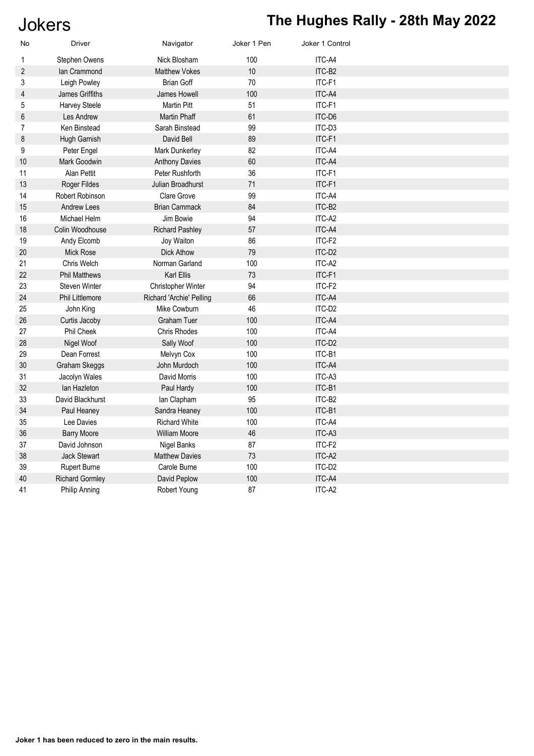# Jokers **The Hughes Rally - 28th May 2022**

| No             | <b>Driver</b>          | Navigator                | Joker 1 Pen | Joker 1 Control |  |
|----------------|------------------------|--------------------------|-------------|-----------------|--|
| $\mathbf 1$    | Stephen Owens          | Nick Blosham             | 100         | ITC-A4          |  |
| $\overline{2}$ | lan Crammond           | <b>Matthew Vokes</b>     | 10          | ITC-B2          |  |
| 3              | Leigh Powley           | <b>Brian Goff</b>        | 70          | ITC-F1          |  |
| 4              | James Griffiths        | James Howell             | 100         | ITC-A4          |  |
| 5              | Harvey Steele          | <b>Martin Pitt</b>       | 51          | ITC-F1          |  |
| 6              | Les Andrew             | Martin Phaff             | 61          | ITC-D6          |  |
| $\overline{7}$ | Ken Binstead           | Sarah Binstead           | 99          | ITC-D3          |  |
| 8              | Hugh Garnish           | David Bell               | 89          | ITC-F1          |  |
| 9              | Peter Engel            | Mark Dunkerley           | 82          | ITC-A4          |  |
| 10             | Mark Goodwin           | <b>Anthony Davies</b>    | 60          | ITC-A4          |  |
| 11             | Alan Pettit            | Peter Rushforth          | 36          | ITC-F1          |  |
| 13             | Roger Fildes           | <b>Julian Broadhurst</b> | 71          | ITC-F1          |  |
| 14             | Robert Robinson        | <b>Clare Grove</b>       | 99          | ITC-A4          |  |
| 15             | <b>Andrew Lees</b>     | <b>Brian Cammack</b>     | 84          | ITC-B2          |  |
| 16             | Michael Helm           | Jim Bowie                | 94          | ITC-A2          |  |
| 18             | Colin Woodhouse        | <b>Richard Pashley</b>   | 57          | ITC-A4          |  |
| 19             | Andy Elcomb            | Joy Waiton               | 86          | ITC-F2          |  |
| 20             | <b>Mick Rose</b>       | <b>Dick Athow</b>        | 79          | ITC-D2          |  |
| 21             | Chris Welch            | Norman Garland           | 100         | ITC-A2          |  |
| 22             | <b>Phil Matthews</b>   | <b>Karl Ellis</b>        | 73          | ITC-F1          |  |
| 23             | <b>Steven Winter</b>   | Christopher Winter       | 94          | ITC-F2          |  |
| 24             | <b>Phil Littlemore</b> | Richard 'Archie' Pelling | 66          | ITC-A4          |  |
| 25             | John King              | Mike Cowburn             | 46          | ITC-D2          |  |
| 26             | Curtis Jacoby          | <b>Graham Tuer</b>       | 100         | ITC-A4          |  |
| 27             | Phil Cheek             | <b>Chris Rhodes</b>      | 100         | ITC-A4          |  |
| 28             | Nigel Woof             | Sally Woof               | 100         | ITC-D2          |  |
| 29             | Dean Forrest           | Melvyn Cox               | 100         | ITC-B1          |  |
| 30             | Graham Skeggs          | John Murdoch             | 100         | ITC-A4          |  |
| 31             | Jacolyn Wales          | David Morris             | 100         | ITC-A3          |  |
| 32             | lan Hazleton           | Paul Hardy               | 100         | ITC-B1          |  |
| 33             | David Blackhurst       | lan Clapham              | 95          | ITC-B2          |  |
| 34             | Paul Heaney            | Sandra Heaney            | 100         | ITC-B1          |  |
| 35             | Lee Davies             | <b>Richard White</b>     | 100         | ITC-A4          |  |
| 36             | <b>Barry Moore</b>     | <b>William Moore</b>     | 46          | ITC-A3          |  |
| 37             | David Johnson          | <b>Nigel Banks</b>       | 87          | ITC-F2          |  |
| 38             | <b>Jack Stewart</b>    | <b>Matthew Davies</b>    | 73          | ITC-A2          |  |
| 39             | Rupert Burne           | Carole Burne             | 100         | ITC-D2          |  |
| 40             | <b>Richard Gormley</b> | David Peplow             | 100         | ITC-A4          |  |
| 41             | Philip Anning          | Robert Young             | 87          | ITC-A2          |  |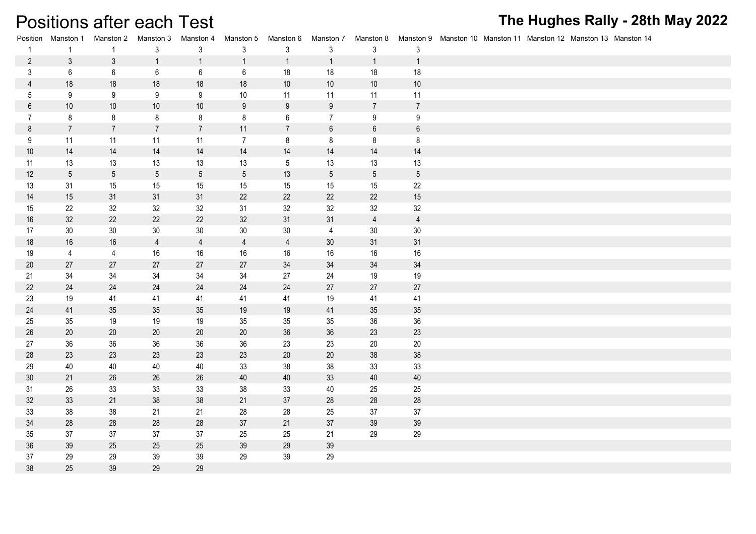## Positions after each Test

| Position        | Manston 1       | Manston 2       | Manston 3       | Manston 4       | Manston 5       | Manston 6        | Manston 7        | Manston 8       |                 | Manston 9 Manston 10 Manston 11 Manston 12 Manston 13 Manston 14 |
|-----------------|-----------------|-----------------|-----------------|-----------------|-----------------|------------------|------------------|-----------------|-----------------|------------------------------------------------------------------|
| $\mathbf{1}$    | $\overline{1}$  | $\mathbf{1}$    | $\mathbf{3}$    | $\mathbf{3}$    | $\mathbf{3}$    | $\mathfrak{Z}$   | $\mathfrak{Z}$   | $\mathbf{3}$    | $\mathfrak{Z}$  |                                                                  |
| $\overline{2}$  | 3               | $\mathbf{3}$    | $\mathbf{1}$    | $\overline{1}$  | $\mathbf{1}$    | $\overline{1}$   | $\mathbf{1}$     | $\overline{1}$  | $\overline{1}$  |                                                                  |
| $\mathfrak{Z}$  | 6               | $\,6\,$         | $6\phantom{.}6$ | 6               | $6\phantom{.0}$ | 18               | 18               | 18              | 18              |                                                                  |
| $\overline{4}$  | 18              | $18$            | 18              | 18              | 18              | $10$             | $10$             | $10$            | $10$            |                                                                  |
| $5\phantom{.0}$ | 9               | 9               | 9               | 9               | $10$            | 11               | 11               | 11              | 11              |                                                                  |
| $\,6\,$         | $10$            | $10$            | $10$            | $10$            | $9\,$           | $\boldsymbol{9}$ | $9\,$            | $\overline{7}$  | $\overline{7}$  |                                                                  |
| $\overline{7}$  | 8               | 8               | 8               | 8               | 8               | $6\phantom{.}6$  | $7\overline{ }$  | 9               | 9               |                                                                  |
| $\,8\,$         | $\overline{7}$  | $\overline{7}$  | $\overline{7}$  | $\overline{7}$  | 11              | $\overline{7}$   | $\boldsymbol{6}$ | $\,6\,$         | $\,6\,$         |                                                                  |
| 9               | 11              | 11              | 11              | 11              | $\overline{7}$  | 8                | 8                | 8               | $\bf 8$         |                                                                  |
| $10$            | 14              | 14              | 14              | 14              | 14              | 14               | 14               | 14              | 14              |                                                                  |
| 11              | 13              | 13              | 13              | 13              | 13              | $5\,$            | 13               | 13              | 13              |                                                                  |
| 12              | $5\phantom{.0}$ | $5\phantom{.0}$ | $5\phantom{.0}$ | $5\phantom{.0}$ | $5\phantom{.0}$ | 13               | $5\phantom{.0}$  | $5\phantom{.0}$ | $5\phantom{.0}$ |                                                                  |
| 13              | 31              | 15              | 15              | 15              | 15              | 15               | 15               | 15              | 22              |                                                                  |
| 14              | 15              | 31              | 31              | 31              | 22              | 22               | 22               | 22              | 15              |                                                                  |
| 15              | 22              | 32              | 32              | 32              | 31              | 32               | 32               | 32              | 32              |                                                                  |
| 16              | 32              | 22              | 22              | 22              | 32              | 31               | 31               | $\overline{4}$  | $\overline{4}$  |                                                                  |
| 17              | 30              | 30              | 30              | 30              | 30              | $30\,$           | $\overline{4}$   | 30              | $30\,$          |                                                                  |
| 18              | 16              | 16              | $\overline{4}$  | $\overline{4}$  | $\overline{4}$  | $\overline{4}$   | 30               | 31              | 31              |                                                                  |
| 19              | $\overline{4}$  | $\overline{4}$  | 16              | 16              | 16              | 16               | 16               | 16              | 16              |                                                                  |
| 20              | 27              | 27              | 27              | 27              | 27              | 34               | 34               | 34              | 34              |                                                                  |
| 21              | 34              | 34              | 34              | 34              | 34              | 27               | 24               | 19              | 19              |                                                                  |
| 22              | $24\,$          | $24\,$          | 24              | 24              | 24              | $24\,$           | 27               | 27              | 27              |                                                                  |
| 23              | 19              | 41              | 41              | 41              | 41              | 41               | 19               | 41              | 41              |                                                                  |
| 24              | 41              | 35              | $35\,$          | 35              | 19              | $19$             | 41               | 35              | 35              |                                                                  |
| 25              | 35              | 19              | 19              | 19              | 35              | 35               | 35               | 36              | 36              |                                                                  |
| 26              | 20              | $20\,$          | 20              | 20              | 20              | 36               | 36               | 23              | 23              |                                                                  |
| 27              | 36              | 36              | 36              | 36              | 36              | 23               | 23               | $20\,$          | 20              |                                                                  |
| 28              | 23              | 23              | 23              | 23              | 23              | $20\,$           | $20\,$           | 38              | 38              |                                                                  |
| 29              | 40              | 40              | 40              | 40              | 33              | 38               | 38               | 33              | 33              |                                                                  |
| 30              | 21              | 26              | 26              | 26              | 40              | 40               | 33               | 40              | 40              |                                                                  |
| 31              | 26              | 33              | 33              | 33              | 38              | 33               | 40               | 25              | 25              |                                                                  |
| 32              | 33              | 21              | 38              | 38              | 21              | $37\,$           | 28               | 28              | $28\,$          |                                                                  |
| 33              | 38              | 38              | 21              | 21              | 28              | 28               | 25               | 37              | 37              |                                                                  |
| 34              | 28              | 28              | 28              | 28              | 37              | 21               | $37\,$           | 39              | $39\,$          |                                                                  |
| 35              | 37              | 37              | 37              | 37              | 25              | 25               | 21               | 29              | 29              |                                                                  |
| 36              | 39              | 25              | 25              | 25              | 39              | 29               | 39               |                 |                 |                                                                  |
| 37              | 29              | 29              | 39              | 39              | 29              | 39               | 29               |                 |                 |                                                                  |
| 38              | 25              | 39              | 29              | 29              |                 |                  |                  |                 |                 |                                                                  |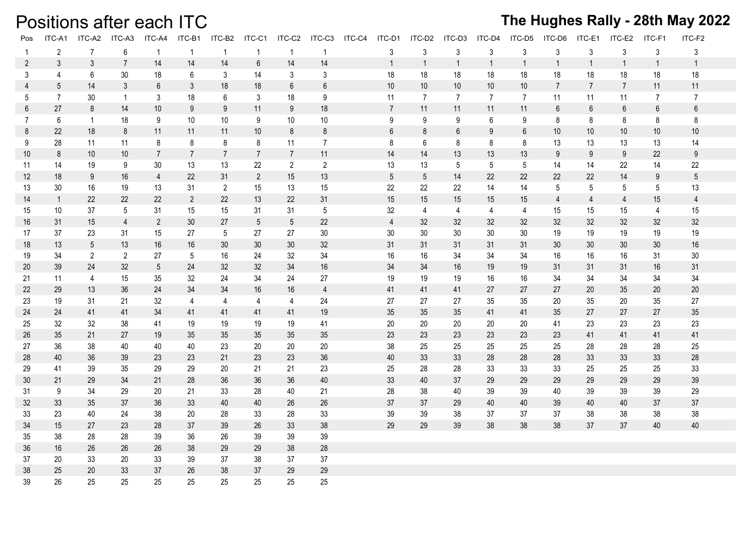## Positions after each ITC

| Pos             | ITC-A1          | ITC-A2         | ITC-A3         | ITC-A4          | ITC-B1          | ITC-B2          | ITC-C1          | ITC-C2          | ITC-C3          | ITC-C4 | ITC-D1          | ITC-D2          | ITC-D3         | ITC-D4          | ITC-D5          | ITC-D6         | ITC-E1         | ITC-E2          | ITC-F1           | ITC-F2           |
|-----------------|-----------------|----------------|----------------|-----------------|-----------------|-----------------|-----------------|-----------------|-----------------|--------|-----------------|-----------------|----------------|-----------------|-----------------|----------------|----------------|-----------------|------------------|------------------|
| -1              | $\overline{2}$  | $\overline{7}$ | 6              | $\mathbf{1}$    | $\overline{1}$  | $\overline{1}$  | $\overline{1}$  | $\overline{1}$  | $\mathbf{1}$    |        | 3               | $\mathsf{3}$    | 3              | 3               | $\mathbf{3}$    | 3              | 3              | 3               | $\mathsf{3}$     | 3                |
| $\mathbf{2}$    | $\mathfrak{Z}$  | $\mathfrak{Z}$ | $\overline{7}$ | 14              | 14              | 14              | $6\phantom{.}6$ | 14              | 14              |        | $\mathbf{1}$    | $\mathbf{1}$    | $\overline{1}$ | $\overline{1}$  | $\overline{1}$  | $\mathbf{1}$   | $\overline{1}$ | $\mathbf{1}$    | $\mathbf{1}$     | $\mathbf{1}$     |
| 3               | $\overline{4}$  | 6              | 30             | 18              | 6               | 3               | 14              | 3               | 3               |        | 18              | 18              | 18             | 18              | 18              | 18             | 18             | 18              | 18               | 18               |
| $\overline{4}$  | $5\overline{)}$ | 14             | 3              | $6\phantom{.0}$ | $\mathfrak{Z}$  | 18              | 18              | $6\,$           | $6\,$           |        | $10$            | 10              | 10             | $10$            | $10$            | $\overline{7}$ | $\overline{7}$ | $\overline{7}$  | 11               | 11               |
| 5               | $\overline{7}$  | 30             | $\overline{1}$ | $\mathfrak{Z}$  | 18              | 6               | 3               | 18              | 9               |        | 11              | $\overline{7}$  | $\overline{7}$ | $\overline{7}$  | $\overline{7}$  | 11             | 11             | 11              | $\overline{7}$   | $\overline{7}$   |
| 6               | 27              | 8              | 14             | 10              | 9               | 9               | 11              | 9               | 18              |        | $\overline{7}$  | 11              | 11             | 11              | 11              | $6\,$          | $6\,$          | $6\overline{6}$ | $6\,$            | $\,6\,$          |
| $\mathbf{7}$    | 6               | $\mathbf{1}$   | 18             | 9               | 10              | 10              | 9               | 10              | 10              |        | 9               | 9               | 9              | 6               | 9               | 8              | 8              | 8               | 8                | 8                |
| 8               | 22              | 18             | 8              | 11              | 11              | 11              | 10 <sup>°</sup> | 8               | 8               |        | 6               | 8               | 6              | 9               | 6               | 10             | 10             | 10 <sup>°</sup> | 10 <sup>°</sup>  | 10               |
| 9               | 28              | 11             | 11             | 8               | 8               | 8               | 8               | 11              | $\overline{7}$  |        | 8               | 6               | 8              | 8               | 8               | 13             | 13             | 13              | 13               | 14               |
| 10 <sup>°</sup> | $\bf 8$         | 10             | 10             | $7\overline{ }$ | $\overline{7}$  | $\overline{7}$  | $\overline{7}$  | $\overline{7}$  | 11              |        | 14              | 14              | 13             | 13              | 13              | $9\,$          | 9              | 9               | 22               | $\boldsymbol{9}$ |
| 11              | 14              | 19             | 9              | 30              | 13              | 13              | 22              | $\overline{2}$  | $\overline{2}$  |        | 13              | 13              | 5              | $5\phantom{.0}$ | $5\phantom{.0}$ | 14             | 14             | 22              | 14               | 22               |
| 12 <sup>°</sup> | 18              | 9              | 16             | $\overline{4}$  | 22              | 31              | $\overline{2}$  | 15              | 13              |        | $5\phantom{.0}$ | $5\phantom{.0}$ | 14             | 22              | 22              | 22             | 22             | 14              | $\boldsymbol{9}$ | $\sqrt{5}$       |
| 13              | 30              | 16             | 19             | 13              | 31              | $\overline{2}$  | 15              | 13              | 15              |        | 22              | 22              | 22             | 14              | 14              | 5              | 5              | 5               | 5                | 13               |
| 14              | $\overline{1}$  | 22             | 22             | 22              | $\overline{2}$  | 22              | 13              | 22              | 31              |        | 15              | 15              | 15             | 15              | 15              | $\overline{4}$ | $\overline{4}$ | $\overline{4}$  | 15               | $\overline{4}$   |
| 15              | 10              | 37             | 5              | 31              | 15              | 15              | 31              | 31              | $5\phantom{.0}$ |        | 32              | $\overline{4}$  | 4              | $\overline{4}$  | $\overline{4}$  | 15             | 15             | 15              | $\overline{4}$   | 15               |
| 16              | 31              | 15             | $\overline{4}$ | $\overline{2}$  | 30              | 27              | $5\overline{)}$ | $5\phantom{.0}$ | 22              |        | $\overline{4}$  | 32              | 32             | 32              | 32              | 32             | 32             | 32              | 32               | 32               |
| 17              | 37              | 23             | 31             | 15              | 27              | 5               | 27              | 27              | 30              |        | $30\,$          | $30\,$          | $30\,$         | 30              | 30              | 19             | 19             | 19              | 19               | 19               |
| 18              | 13              | $\sqrt{5}$     | 13             | 16              | 16              | 30              | 30 <sup>°</sup> | 30              | 32              |        | 31              | 31              | 31             | 31              | 31              | 30             | 30             | 30              | 30               | 16               |
| 19              | 34              | $\overline{2}$ | $\overline{2}$ | 27              | $5\phantom{.0}$ | 16              | 24              | 32              | 34              |        | 16              | 16              | 34             | 34              | 34              | 16             | 16             | 16              | 31               | 30               |
| 20              | 39              | 24             | 32             | $5\overline{)}$ | 24              | 32 <sup>2</sup> | 32              | 34              | 16              |        | 34              | 34              | 16             | 19              | 19              | 31             | 31             | 31              | 16               | 31               |
| 21              | 11              | 4              | 15             | 35              | 32              | 24              | 34              | 24              | 27              |        | 19              | 19              | 19             | 16              | 16              | 34             | 34             | 34              | 34               | 34               |
| 22              | 29              | 13             | 36             | 24              | 34              | 34              | 16              | 16              | $\overline{4}$  |        | 41              | 41              | 41             | 27              | 27              | 27             | 20             | 35              | 20               | 20               |
| 23              | 19              | 31             | 21             | 32              | 4               | $\overline{4}$  | $\overline{4}$  | $\overline{4}$  | 24              |        | 27              | 27              | 27             | 35              | 35              | 20             | 35             | 20              | 35               | 27               |
| 24              | 24              | 41             | 41             | 34              | 41              | 41              | 41              | 41              | 19              |        | 35              | 35              | 35             | 41              | 41              | 35             | 27             | 27              | 27               | 35               |
| 25              | 32              | 32             | 38             | 41              | 19              | 19              | 19              | 19              | 41              |        | 20              | 20              | 20             | 20              | 20              | 41             | 23             | 23              | 23               | 23               |
| 26              | 35              | 21             | 27             | 19              | 35              | 35              | 35              | 35              | 35 <sub>5</sub> |        | 23              | 23              | 23             | 23              | 23              | 23             | 41             | 41              | 41               | 41               |
| 27              | 36              | 38             | 40             | 40              | 40              | 23              | 20              | 20              | 20              |        | 38              | 25              | 25             | 25              | 25              | 25             | 28             | 28              | 28               | 25               |
| 28              | 40              | 36             | 39             | 23              | 23              | 21              | 23              | 23              | 36              |        | 40              | 33              | 33             | 28              | 28              | 28             | 33             | 33              | 33               | 28               |
| 29              | 41              | 39             | 35             | 29              | 29              | 20              | 21              | 21              | 23              |        | 25              | 28              | 28             | 33              | 33              | 33             | 25             | 25              | 25               | 33               |
| 30              | 21              | 29             | 34             | 21              | 28              | 36              | 36              | 36              | 40              |        | 33              | 40              | 37             | 29              | 29              | 29             | 29             | 29              | 29               | 39               |
| 31              | 9               | 34             | 29             | 20              | 21              | 33              | 28              | 40              | 21              |        | 28              | 38              | 40             | 39              | 39              | 40             | 39             | 39              | 39               | 29               |
| 32              | 33              | 35             | 37             | 36              | 33              | 40              | 40              | 26              | $26\,$          |        | 37              | 37              | 29             | 40              | 40              | 39             | 40             | 40              | 37               | 37               |
| 33              | 23              | 40             | 24             | 38              | 20              | 28              | 33              | 28              | 33              |        | 39              | 39              | 38             | 37              | 37              | 37             | 38             | 38              | 38               | 38               |
| 34              | 15              | 27             | 23             | 28              | 37              | 39              | 26              | 33              | 38              |        | 29              | 29              | 39             | 38              | 38              | 38             | 37             | 37              | 40               | 40               |
| 35              | 38              | 28             | 28             | 39              | 36              | 26              | 39              | 39              | 39              |        |                 |                 |                |                 |                 |                |                |                 |                  |                  |
| 36              | 16              | 26             | 26             | 26              | 38              | 29              | 29              | 38              | 28              |        |                 |                 |                |                 |                 |                |                |                 |                  |                  |
| 37              | 20              | 33             | 20             | 33              | 39              | 37              | 38              | 37              | 37              |        |                 |                 |                |                 |                 |                |                |                 |                  |                  |
| 38              | 25              | 20             | 33             | 37              | 26              | 38              | 37              | 29              | 29              |        |                 |                 |                |                 |                 |                |                |                 |                  |                  |
| 39              | 26              | 25             | 25             | 25              | 25              | 25              | 25              | 25              | 25              |        |                 |                 |                |                 |                 |                |                |                 |                  |                  |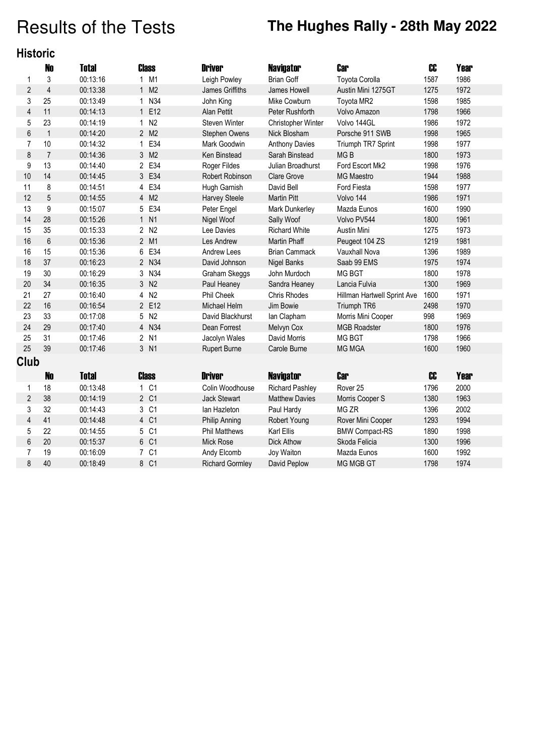# Results of the Tests **The Hughes Rally - 28th May 2022**

|  | <b>Historic</b> |  |
|--|-----------------|--|
|  |                 |  |

|                         | <b>No</b>        | <b>Total</b> |              | Class            | <b>Driver</b>          | <b>Navigator</b>       | <b>Car</b>                  | CC             | <b>Year</b> |
|-------------------------|------------------|--------------|--------------|------------------|------------------------|------------------------|-----------------------------|----------------|-------------|
| 1                       | 3                | 00:13:16     |              | 1 M1             | Leigh Powley           | <b>Brian Goff</b>      | Toyota Corolla              | 1587           | 1986        |
| $\overline{2}$          | $\overline{4}$   | 00:13:38     |              | 1 M2             | James Griffiths        | James Howell           | Austin Mini 1275GT          | 1275           | 1972        |
| 3                       | 25               | 00:13:49     | $\mathbf{1}$ | N34              | John King              | Mike Cowburn           | Toyota MR2                  | 1598           | 1985        |
| $\overline{\mathbf{4}}$ | 11               | 00:14:13     |              | 1 E12            | Alan Pettit            | Peter Rushforth        | Volvo Amazon                | 1798           | 1966        |
| 5                       | 23               | 00:14:19     | $\mathbf{1}$ | N <sub>2</sub>   | Steven Winter          | Christopher Winter     | Volvo 144GL                 | 1986           | 1972        |
| 6                       | $\mathbf{1}$     | 00:14:20     |              | 2 M2             | Stephen Owens          | Nick Blosham           | Porsche 911 SWB             | 1998           | 1965        |
| $\overline{7}$          | 10               | 00:14:32     | $\mathbf{1}$ | E34              | Mark Goodwin           | <b>Anthony Davies</b>  | Triumph TR7 Sprint          | 1998           | 1977        |
| 8                       | $\overline{7}$   | 00:14:36     |              | 3 M2             | <b>Ken Binstead</b>    | Sarah Binstead         | MG <sub>B</sub>             | 1800           | 1973        |
| 9                       | 13               | 00:14:40     |              | 2 E34            | Roger Fildes           | Julian Broadhurst      | Ford Escort Mk2             | 1998           | 1976        |
| 10                      | 14               | 00:14:45     |              | 3 E34            | <b>Robert Robinson</b> | <b>Clare Grove</b>     | <b>MG Maestro</b>           | 1944           | 1988        |
| 11                      | 8                | 00:14:51     |              | 4 E34            | Hugh Garnish           | David Bell             | Ford Fiesta                 | 1598           | 1977        |
| 12                      | 5                | 00:14:55     |              | 4 M2             | <b>Harvey Steele</b>   | <b>Martin Pitt</b>     | Volvo 144                   | 1986           | 1971        |
| 13                      | $\boldsymbol{9}$ | 00:15:07     |              | 5 E34            | Peter Engel            | Mark Dunkerley         | Mazda Eunos                 | 1600           | 1990        |
| 14                      | 28               | 00:15:26     |              | 1 N1             | Nigel Woof             | Sally Woof             | Volvo PV544                 | 1800           | 1961        |
| 15                      | 35               | 00:15:33     |              | 2 N <sub>2</sub> | Lee Davies             | <b>Richard White</b>   | Austin Mini                 | 1275           | 1973        |
| 16                      | $\,6\,$          | 00:15:36     |              | 2 M1             | <b>Les Andrew</b>      | <b>Martin Phaff</b>    | Peugeot 104 ZS              | 1219           | 1981        |
| 16                      | 15               | 00:15:36     | 6            | E34              | Andrew Lees            | <b>Brian Cammack</b>   | Vauxhall Nova               | 1396           | 1989        |
| 18                      | 37               | 00:16:23     |              | 2 N34            | David Johnson          | <b>Nigel Banks</b>     | Saab 99 EMS                 | 1975           | 1974        |
| 19                      | 30               | 00:16:29     |              | 3 N34            | Graham Skeggs          | John Murdoch           | <b>MG BGT</b>               | 1800           | 1978        |
| 20                      | 34               | 00:16:35     |              | 3 N2             | Paul Heaney            | Sandra Heaney          | Lancia Fulvia               | 1300           | 1969        |
| 21                      | 27               | 00:16:40     |              | 4 N2             | <b>Phil Cheek</b>      | Chris Rhodes           | Hillman Hartwell Sprint Ave | 1600           | 1971        |
| 22                      | 16               | 00:16:54     |              | 2 E12            | Michael Helm           | Jim Bowie              | Triumph TR6                 | 2498           | 1970        |
| 23                      | 33               | 00:17:08     |              | 5 N2             | David Blackhurst       | lan Clapham            | Morris Mini Cooper          | 998            | 1969        |
| 24                      | 29               | 00:17:40     |              | 4 N34            | Dean Forrest           | Melvyn Cox             | <b>MGB Roadster</b>         | 1800           | 1976        |
| 25                      | 31               | 00:17:46     |              | 2 N1             | Jacolyn Wales          | David Morris           | <b>MG BGT</b>               | 1798           | 1966        |
| 25                      | 39               | 00:17:46     |              | 3 N1             | <b>Rupert Burne</b>    | Carole Burne           | <b>MG MGA</b>               | 1600           | 1960        |
| Club                    |                  |              |              |                  |                        |                        |                             |                |             |
|                         | <b>No</b>        | <b>Total</b> |              | <b>Class</b>     | <b>Driver</b>          | <b>Navigator</b>       | <b>Car</b>                  | C <sub>C</sub> | <b>Year</b> |
| 1                       | 18               | 00:13:48     |              | 1 C1             | Colin Woodhouse        | <b>Richard Pashley</b> | Rover <sub>25</sub>         | 1796           | 2000        |
| $\overline{2}$          | 38               | 00:14:19     |              | 2 C1             | Jack Stewart           | <b>Matthew Davies</b>  | Morris Cooper S             | 1380           | 1963        |
| 3                       | 32               | 00:14:43     |              | 3 C1             | lan Hazleton           | Paul Hardy             | MG ZR                       | 1396           | 2002        |
| 4                       | 41               | 00:14:48     |              | 4 C1             | Philip Anning          | Robert Young           | Rover Mini Cooper           | 1293           | 1994        |
| 5                       | 22               | 00:14:55     |              | 5 C1             | <b>Phil Matthews</b>   | Karl Ellis             | <b>BMW Compact-RS</b>       | 1890           | 1998        |
| 6                       | 20               | 00:15:37     |              | 6 C1             | <b>Mick Rose</b>       | <b>Dick Athow</b>      | Skoda Felicia               | 1300           | 1996        |
| 7                       | 19               | 00:16:09     |              | 7 C1             | Andy Elcomb            | Joy Waiton             | Mazda Eunos                 | 1600           | 1992        |
| 8                       | 40               | 00:18:49     |              | 8 C1             | <b>Richard Gormley</b> | David Peplow           | <b>MG MGB GT</b>            | 1798           | 1974        |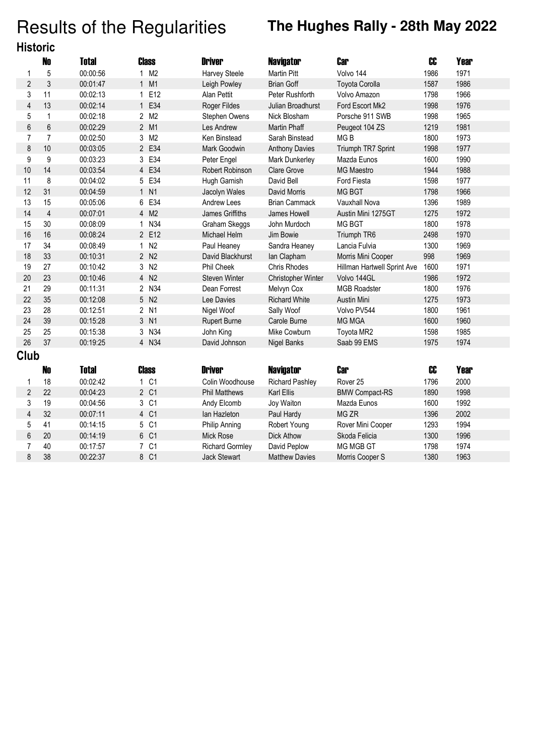# Results of the Regularities **The Hughes Rally - 28th May 2022**

| <b>Historic</b>         |                |              |                  |                        |                        |                             |                |             |  |
|-------------------------|----------------|--------------|------------------|------------------------|------------------------|-----------------------------|----------------|-------------|--|
|                         | No             | <b>Total</b> | <b>Class</b>     | <b>Driver</b>          | <b>Navigator</b>       | <b>Car</b>                  | C <sub>C</sub> | <b>Year</b> |  |
| 1                       | 5              | 00:00:56     | 1 M2             | Harvey Steele          | <b>Martin Pitt</b>     | Volvo 144                   | 1986           | 1971        |  |
| $\overline{2}$          | $\mathfrak{z}$ | 00:01:47     | 1 M1             | Leigh Powley           | <b>Brian Goff</b>      | Toyota Corolla              | 1587           | 1986        |  |
| 3                       | 11             | 00:02:13     | 1 E12            | Alan Pettit            | Peter Rushforth        | Volvo Amazon                | 1798           | 1966        |  |
| $\overline{4}$          | 13             | 00:02:14     | 1 E34            | Roger Fildes           | Julian Broadhurst      | Ford Escort Mk2             | 1998           | 1976        |  |
| 5                       | $\mathbf{1}$   | 00:02:18     | 2 M2             | Stephen Owens          | Nick Blosham           | Porsche 911 SWB             | 1998           | 1965        |  |
| 6                       | 6              | 00:02:29     | 2 M1             | Les Andrew             | <b>Martin Phaff</b>    | Peugeot 104 ZS              | 1219           | 1981        |  |
| $\overline{7}$          | $\overline{7}$ | 00:02:50     | 3 M2             | Ken Binstead           | Sarah Binstead         | MG <sub>B</sub>             | 1800           | 1973        |  |
| 8                       | 10             | 00:03:05     | 2 E34            | Mark Goodwin           | <b>Anthony Davies</b>  | Triumph TR7 Sprint          | 1998           | 1977        |  |
| 9                       | 9              | 00:03:23     | 3 E34            | Peter Engel            | Mark Dunkerley         | Mazda Eunos                 | 1600           | 1990        |  |
| 10                      | 14             | 00:03:54     | 4 E34            | Robert Robinson        | Clare Grove            | <b>MG Maestro</b>           | 1944           | 1988        |  |
| 11                      | 8              | 00:04:02     | 5 E34            | Hugh Garnish           | David Bell             | Ford Fiesta                 | 1598           | 1977        |  |
| 12                      | 31             | 00:04:59     | 1 N1             | Jacolyn Wales          | David Morris           | <b>MG BGT</b>               | 1798           | 1966        |  |
| 13                      | 15             | 00:05:06     | 6 E34            | Andrew Lees            | <b>Brian Cammack</b>   | Vauxhall Nova               | 1396           | 1989        |  |
| 14                      | $\overline{4}$ | 00:07:01     | 4 M2             | James Griffiths        | James Howell           | Austin Mini 1275GT          | 1275           | 1972        |  |
| 15                      | 30             | 00:08:09     | 1 N34            | Graham Skeggs          | John Murdoch           | <b>MG BGT</b>               | 1800           | 1978        |  |
| 16                      | 16             | 00:08:24     | 2 E12            | Michael Helm           | Jim Bowie              | Triumph TR6                 | 2498           | 1970        |  |
| 17                      | 34             | 00:08:49     | 1 N2             | Paul Heaney            | Sandra Heaney          | Lancia Fulvia               | 1300           | 1969        |  |
| 18                      | 33             | 00:10:31     | 2 N <sub>2</sub> | David Blackhurst       | lan Clapham            | Morris Mini Cooper          | 998            | 1969        |  |
| 19                      | 27             | 00:10:42     | 3 N2             | Phil Cheek             | <b>Chris Rhodes</b>    | Hillman Hartwell Sprint Ave | 1600           | 1971        |  |
| 20                      | 23             | 00:10:46     | 4 N2             | Steven Winter          | Christopher Winter     | Volvo 144GL                 | 1986           | 1972        |  |
| 21                      | 29             | 00:11:31     | 2 N34            | Dean Forrest           | Melvyn Cox             | <b>MGB Roadster</b>         | 1800           | 1976        |  |
| 22                      | 35             | 00:12:08     | 5 N2             | Lee Davies             | <b>Richard White</b>   | <b>Austin Mini</b>          | 1275           | 1973        |  |
| 23                      | 28             | 00:12:51     | 2 N1             | Nigel Woof             | Sally Woof             | Volvo PV544                 | 1800           | 1961        |  |
| 24                      | 39             | 00:15:28     | 3 N1             | <b>Rupert Burne</b>    | Carole Burne           | <b>MG MGA</b>               | 1600           | 1960        |  |
| 25                      | 25             | 00:15:38     | 3 N34            | John King              | Mike Cowburn           | Toyota MR2                  | 1598           | 1985        |  |
| 26                      | 37             | 00:19:25     | 4 N34            | David Johnson          | <b>Nigel Banks</b>     | Saab 99 EMS                 | 1975           | 1974        |  |
| Club                    |                |              |                  |                        |                        |                             |                |             |  |
|                         | N <sub>0</sub> | <b>Total</b> | <b>Class</b>     | <b>Driver</b>          | <b>Navigator</b>       | <b>Car</b>                  | C <sub>C</sub> | <b>Year</b> |  |
| 1                       | 18             | 00:02:42     | 1 C1             | Colin Woodhouse        | <b>Richard Pashley</b> | Rover <sub>25</sub>         | 1796           | 2000        |  |
| $\overline{2}$          | 22             | 00:04:23     | 2 C1             | <b>Phil Matthews</b>   | Karl Ellis             | <b>BMW Compact-RS</b>       | 1890           | 1998        |  |
| 3                       | 19             | 00:04:56     | 3 C1             | Andy Elcomb            | Joy Waiton             | Mazda Eunos                 | 1600           | 1992        |  |
| $\overline{\mathbf{4}}$ | 32             | 00:07:11     | 4 C1             | lan Hazleton           | Paul Hardy             | MG ZR                       | 1396           | 2002        |  |
| 5                       | 41             | 00:14:15     | 5 C1             | Philip Anning          | Robert Young           | Rover Mini Cooper           | 1293           | 1994        |  |
| 6                       | 20             | 00:14:19     | 6 C1             | <b>Mick Rose</b>       | <b>Dick Athow</b>      | Skoda Felicia               | 1300           | 1996        |  |
| $\overline{7}$          | 40             | 00:17:57     | 7 C1             | <b>Richard Gormley</b> | David Peplow           | <b>MG MGB GT</b>            | 1798           | 1974        |  |
| 8                       | 38             | 00:22:37     | 8 C1             | <b>Jack Stewart</b>    | <b>Matthew Davies</b>  | Morris Cooper S             | 1380           | 1963        |  |
|                         |                |              |                  |                        |                        |                             |                |             |  |